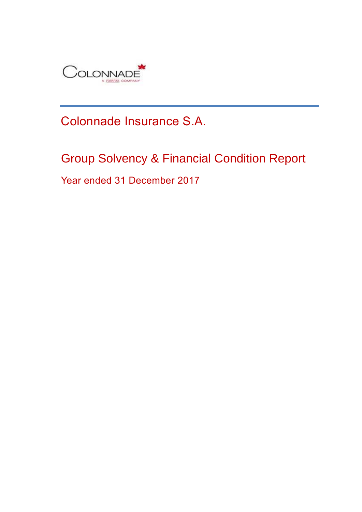

# Colonnade Insurance S.A.

# Group Solvency & Financial Condition Report

Year ended 31 December 2017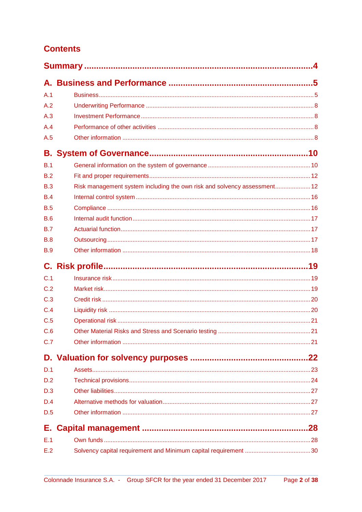# **Contents**

| A.1        |                                                                          |  |
|------------|--------------------------------------------------------------------------|--|
| A.2        |                                                                          |  |
| A.3        |                                                                          |  |
| A.4        |                                                                          |  |
| A.5        |                                                                          |  |
|            |                                                                          |  |
| B.1        |                                                                          |  |
| B.2        |                                                                          |  |
| B.3        | Risk management system including the own risk and solvency assessment 12 |  |
| B.4        |                                                                          |  |
| B.5        |                                                                          |  |
| B.6        |                                                                          |  |
| B.7        |                                                                          |  |
| <b>B.8</b> |                                                                          |  |
| <b>B.9</b> |                                                                          |  |
|            |                                                                          |  |
| C.1        |                                                                          |  |
| C.2        |                                                                          |  |
| C.3        |                                                                          |  |
| C.4        |                                                                          |  |
| C.5        |                                                                          |  |
| C.6        |                                                                          |  |
| C.7        |                                                                          |  |
|            |                                                                          |  |
| D.1        |                                                                          |  |
| D.2        |                                                                          |  |
| D.3        |                                                                          |  |
| D.4        |                                                                          |  |
| D.5        |                                                                          |  |
| Е.         |                                                                          |  |
| E.1        |                                                                          |  |
| E.2        |                                                                          |  |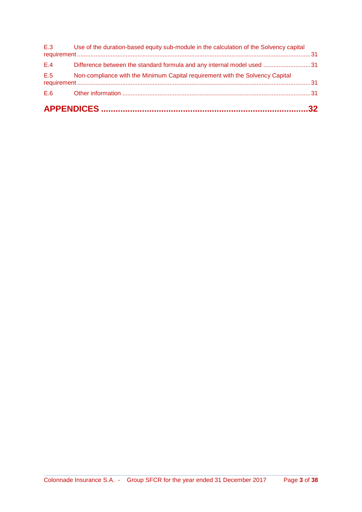| E.5 | Non-compliance with the Minimum Capital requirement with the Solvency Capital              |  |
|-----|--------------------------------------------------------------------------------------------|--|
| E.4 | Difference between the standard formula and any internal model used 31                     |  |
|     | E.3 Use of the duration-based equity sub-module in the calculation of the Solvency capital |  |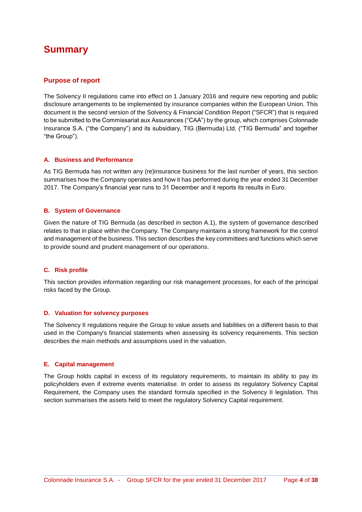# **Summary**

### **Purpose of report**

The Solvency II regulations came into effect on 1 January 2016 and require new reporting and public disclosure arrangements to be implemented by insurance companies within the European Union. This document is the second version of the Solvency & Financial Condition Report ("SFCR") that is required to be submitted to the Commissariat aux Assurances ("CAA") by the group, which comprises Colonnade Insurance S.A. ("the Company") and its subsidiary, TIG (Bermuda) Ltd. ("TIG Bermuda" and together "the Group").

### **A. Business and Performance**

As TIG Bermuda has not written any (re)insurance business for the last number of years, this section summarises how the Company operates and how it has performed during the year ended 31 December 2017. The Company's financial year runs to 31 December and it reports its results in Euro.

#### **B. System of Governance**

Given the nature of TIG Bermuda (as described in section A.1), the system of governance described relates to that in place within the Company. The Company maintains a strong framework for the control and management of the business. This section describes the key committees and functions which serve to provide sound and prudent management of our operations.

### **C. Risk profile**

This section provides information regarding our risk management processes, for each of the principal risks faced by the Group.

### **D. Valuation for solvency purposes**

The Solvency II regulations require the Group to value assets and liabilities on a different basis to that used in the Company's financial statements when assessing its solvency requirements. This section describes the main methods and assumptions used in the valuation.

#### **E. Capital management**

The Group holds capital in excess of its regulatory requirements, to maintain its ability to pay its policyholders even if extreme events materialise. In order to assess its regulatory Solvency Capital Requirement, the Company uses the standard formula specified in the Solvency II legislation. This section summarises the assets held to meet the regulatory Solvency Capital requirement.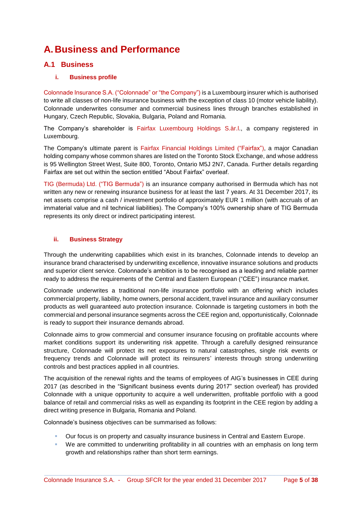# **A.Business and Performance**

### **A.1 Business**

### **i. Business profile**

Colonnade Insurance S.A. ("Colonnade" or "the Company") is a Luxembourg insurer which is authorised to write all classes of non-life insurance business with the exception of class 10 (motor vehicle liability). Colonnade underwrites consumer and commercial business lines through branches established in Hungary, Czech Republic, Slovakia, Bulgaria, Poland and Romania.

The Company's shareholder is Fairfax Luxembourg Holdings S.àr.l., a company registered in Luxembourg.

The Company's ultimate parent is Fairfax Financial Holdings Limited ("Fairfax"), a major Canadian holding company whose common shares are listed on the Toronto Stock Exchange, and whose address is 95 Wellington Street West, Suite 800, Toronto, Ontario M5J 2N7, Canada. Further details regarding Fairfax are set out within the section entitled "About Fairfax" overleaf.

TIG (Bermuda) Ltd. ("TIG Bermuda") is an insurance company authorised in Bermuda which has not written any new or renewing insurance business for at least the last 7 years. At 31 December 2017, its net assets comprise a cash / investment portfolio of approximately EUR 1 million (with accruals of an immaterial value and nil technical liabilities). The Company's 100% ownership share of TIG Bermuda represents its only direct or indirect participating interest.

### **ii. Business Strategy**

Through the underwriting capabilities which exist in its branches, Colonnade intends to develop an insurance brand characterised by underwriting excellence, innovative insurance solutions and products and superior client service. Colonnade's ambition is to be recognised as a leading and reliable partner ready to address the requirements of the Central and Eastern European ("CEE") insurance market.

Colonnade underwrites a traditional non-life insurance portfolio with an offering which includes commercial property, liability, home owners, personal accident, travel insurance and auxiliary consumer products as well guaranteed auto protection insurance. Colonnade is targeting customers in both the commercial and personal insurance segments across the CEE region and, opportunistically, Colonnade is ready to support their insurance demands abroad.

Colonnade aims to grow commercial and consumer insurance focusing on profitable accounts where market conditions support its underwriting risk appetite. Through a carefully designed reinsurance structure, Colonnade will protect its net exposures to natural catastrophes, single risk events or frequency trends and Colonnade will protect its reinsurers' interests through strong underwriting controls and best practices applied in all countries.

The acquisition of the renewal rights and the teams of employees of AIG's businesses in CEE during 2017 (as described in the "Significant business events during 2017" section overleaf) has provided Colonnade with a unique opportunity to acquire a well underwritten, profitable portfolio with a good balance of retail and commercial risks as well as expanding its footprint in the CEE region by adding a direct writing presence in Bulgaria, Romania and Poland.

Colonnade's business objectives can be summarised as follows:

- Our focus is on property and casualty insurance business in Central and Eastern Europe.
- We are committed to underwriting profitability in all countries with an emphasis on long term growth and relationships rather than short term earnings.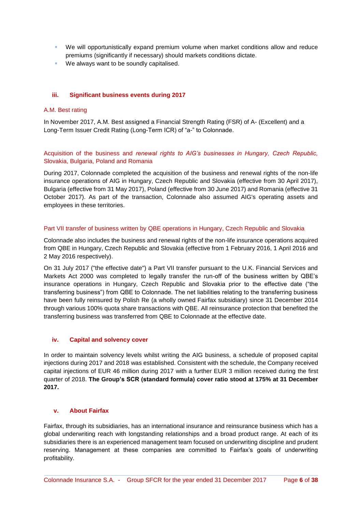- We will opportunistically expand premium volume when market conditions allow and reduce premiums (significantly if necessary) should markets conditions dictate.
- **We always want to be soundly capitalised.**

#### **iii. Significant business events during 2017**

#### A.M. Best rating

In November 2017, A.M. Best assigned a Financial Strength Rating (FSR) of A- (Excellent) and a Long-Term Issuer Credit Rating (Long-Term ICR) of "a-" to Colonnade.

Acquisition of the business and *renewal rights to AIG's businesses in Hungary, Czech Republic,*  Slovakia, Bulgaria, Poland and Romania

During 2017, Colonnade completed the acquisition of the business and renewal rights of the non-life insurance operations of AIG in Hungary, Czech Republic and Slovakia (effective from 30 April 2017), Bulgaria (effective from 31 May 2017), Poland (effective from 30 June 2017) and Romania (effective 31 October 2017). As part of the transaction, Colonnade also assumed AIG's operating assets and employees in these territories.

#### Part VII transfer of business written by QBE operations in Hungary, Czech Republic and Slovakia

Colonnade also includes the business and renewal rights of the non-life insurance operations acquired from QBE in Hungary, Czech Republic and Slovakia (effective from 1 February 2016, 1 April 2016 and 2 May 2016 respectively).

On 31 July 2017 ("the effective date") a Part VII transfer pursuant to the U.K. Financial Services and Markets Act 2000 was completed to legally transfer the run-off of the business written by QBE's insurance operations in Hungary, Czech Republic and Slovakia prior to the effective date ("the transferring business") from QBE to Colonnade. The net liabilities relating to the transferring business have been fully reinsured by Polish Re (a wholly owned Fairfax subsidiary) since 31 December 2014 through various 100% quota share transactions with QBE. All reinsurance protection that benefited the transferring business was transferred from QBE to Colonnade at the effective date.

### **iv. Capital and solvency cover**

In order to maintain solvency levels whilst writing the AIG business, a schedule of proposed capital injections during 2017 and 2018 was established. Consistent with the schedule, the Company received capital injections of EUR 46 million during 2017 with a further EUR 3 million received during the first quarter of 2018. **The Group's SCR (standard formula) cover ratio stood at 175% at 31 December 2017.** 

### **v. About Fairfax**

Fairfax, through its subsidiaries, has an international insurance and reinsurance business which has a global underwriting reach with longstanding relationships and a broad product range. At each of its subsidiaries there is an experienced management team focused on underwriting discipline and prudent reserving. Management at these companies are committed to Fairfax's goals of underwriting profitability.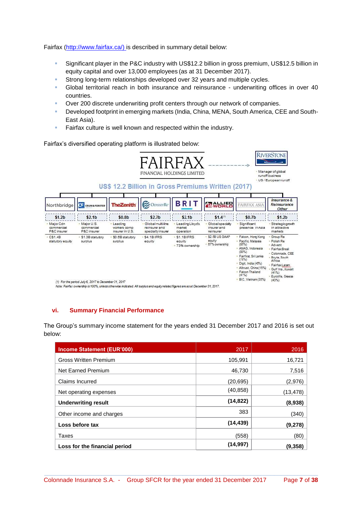Fairfax [\(http://www.fairfax.ca/\)](http://www.fairfax.ca/) is described in summary detail below:

- Significant player in the P&C industry with US\$12.2 billion in gross premium, US\$12.5 billion in equity capital and over 13,000 employees (as at 31 December 2017).
- **Strong long-term relationships developed over 32 years and multiple cycles.**
- Global territorial reach in both insurance and reinsurance underwriting offices in over 40 countries.
- Over 200 discrete underwriting profit centers through our network of companies.
- Developed footprint in emerging markets (India, China, MENA, South America, CEE and South-East Asia).
- Fairfax culture is well known and respected within the industry.

Fairfax's diversified operating platform is illustrated below:



Note: Fairfax ownership is 100%, unless otherwise indicated. All surplus and equity related figures are as at December 31, 2017.

### **vi. Summary Financial Performance**

The Group's summary income statement for the years ended 31 December 2017 and 2016 is set out below:

| Income Statement (EUR'000)    | 2017      | 2016      |
|-------------------------------|-----------|-----------|
| <b>Gross Written Premium</b>  | 105,991   | 16,721    |
| Net Earned Premium            | 46.730    | 7,516     |
| Claims Incurred               | (20, 695) | (2,976)   |
| Net operating expenses        | (40, 858) | (13, 478) |
| <b>Underwriting result</b>    | (14, 822) | (8,938)   |
| Other income and charges      | 383       | (340)     |
| Loss before tax               | (14, 439) | (9,278)   |
| Taxes                         | (558)     | (80)      |
| Loss for the financial period | (14,997)  | (9,358)   |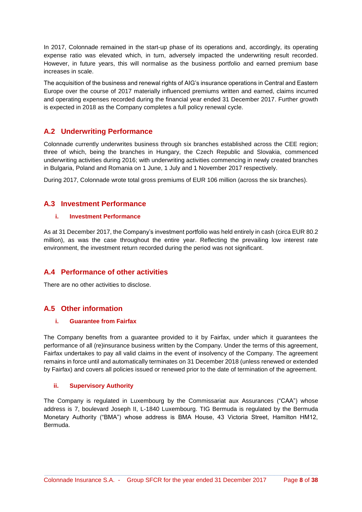In 2017, Colonnade remained in the start-up phase of its operations and, accordingly, its operating expense ratio was elevated which, in turn, adversely impacted the underwriting result recorded. However, in future years, this will normalise as the business portfolio and earned premium base increases in scale.

The acquisition of the business and renewal rights of AIG's insurance operations in Central and Eastern Europe over the course of 2017 materially influenced premiums written and earned, claims incurred and operating expenses recorded during the financial year ended 31 December 2017. Further growth is expected in 2018 as the Company completes a full policy renewal cycle.

### **A.2 Underwriting Performance**

Colonnade currently underwrites business through six branches established across the CEE region; three of which, being the branches in Hungary, the Czech Republic and Slovakia, commenced underwriting activities during 2016; with underwriting activities commencing in newly created branches in Bulgaria, Poland and Romania on 1 June, 1 July and 1 November 2017 respectively.

During 2017, Colonnade wrote total gross premiums of EUR 106 million (across the six branches).

### **A.3 Investment Performance**

#### **i. Investment Performance**

As at 31 December 2017, the Company's investment portfolio was held entirely in cash (circa EUR 80.2 million), as was the case throughout the entire year. Reflecting the prevailing low interest rate environment, the investment return recorded during the period was not significant.

### **A.4 Performance of other activities**

There are no other activities to disclose.

### **A.5 Other information**

### **i. Guarantee from Fairfax**

The Company benefits from a guarantee provided to it by Fairfax, under which it guarantees the performance of all (re)insurance business written by the Company. Under the terms of this agreement, Fairfax undertakes to pay all valid claims in the event of insolvency of the Company. The agreement remains in force until and automatically terminates on 31 December 2018 (unless renewed or extended by Fairfax) and covers all policies issued or renewed prior to the date of termination of the agreement.

### **ii. Supervisory Authority**

The Company is regulated in Luxembourg by the Commissariat aux Assurances ("CAA") whose address is 7, boulevard Joseph II, L-1840 Luxembourg. TIG Bermuda is regulated by the Bermuda Monetary Authority ("BMA") whose address is BMA House, 43 Victoria Street, Hamilton HM12, Bermuda.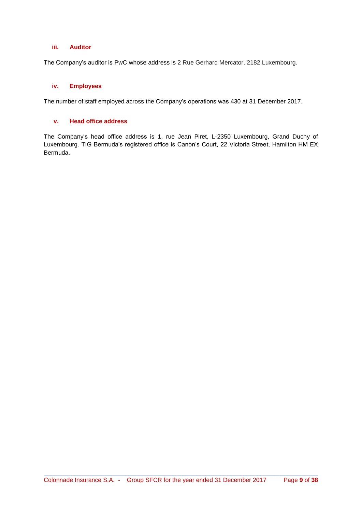### **iii. Auditor**

The Company's auditor is PwC whose address is 2 Rue Gerhard Mercator, 2182 Luxembourg.

### **iv. Employees**

The number of staff employed across the Company's operations was 430 at 31 December 2017.

#### **v. Head office address**

The Company's head office address is 1, rue Jean Piret, L-2350 Luxembourg, Grand Duchy of Luxembourg. TIG Bermuda's registered office is Canon's Court, 22 Victoria Street, Hamilton HM EX Bermuda.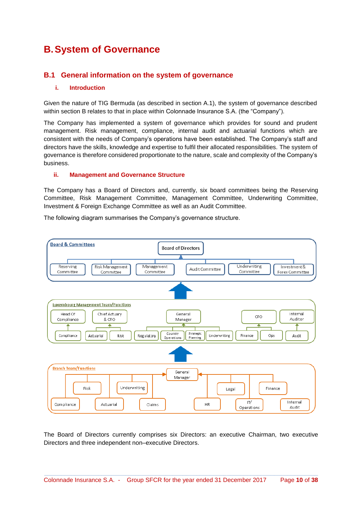# **B. System of Governance**

### **B.1 General information on the system of governance**

#### **i. Introduction**

Given the nature of TIG Bermuda (as described in section A.1), the system of governance described within section B relates to that in place within Colonnade Insurance S.A. (the "Company").

The Company has implemented a system of governance which provides for sound and prudent management. Risk management, compliance, internal audit and actuarial functions which are consistent with the needs of Company's operations have been established. The Company's staff and directors have the skills, knowledge and expertise to fulfil their allocated responsibilities. The system of governance is therefore considered proportionate to the nature, scale and complexity of the Company's business.

#### **ii. Management and Governance Structure**

The Company has a Board of Directors and, currently, six board committees being the Reserving Committee, Risk Management Committee, Management Committee, Underwriting Committee, Investment & Foreign Exchange Committee as well as an Audit Committee.

The following diagram summarises the Company's governance structure.



The Board of Directors currently comprises six Directors: an executive Chairman, two executive Directors and three independent non–executive Directors.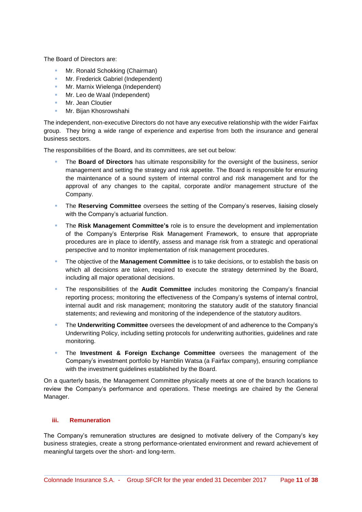The Board of Directors are:

- Mr. Ronald Schokking (Chairman)
- **Mr. Frederick Gabriel (Independent)**
- **Mr. Marnix Wielenga (Independent)**
- Mr. Leo de Waal (Independent)
- Mr. Jean Cloutier
- **Mr. Bijan Khosrowshahi**

The independent, non-executive Directors do not have any executive relationship with the wider Fairfax group. They bring a wide range of experience and expertise from both the insurance and general business sectors.

The responsibilities of the Board, and its committees, are set out below:

- The **Board of Directors** has ultimate responsibility for the oversight of the business, senior management and setting the strategy and risk appetite. The Board is responsible for ensuring the maintenance of a sound system of internal control and risk management and for the approval of any changes to the capital, corporate and/or management structure of the Company.
- The **Reserving Committee** oversees the setting of the Company's reserves, liaising closely with the Company's actuarial function.
- The **Risk Management Committee's** role is to ensure the development and implementation of the Company's Enterprise Risk Management Framework, to ensure that appropriate procedures are in place to identify, assess and manage risk from a strategic and operational perspective and to monitor implementation of risk management procedures.
- The objective of the **Management Committee** is to take decisions, or to establish the basis on which all decisions are taken, required to execute the [strategy](http://www.electrocomponents.com/about-us/strategy) determined by the Board, including all major operational decisions.
- The responsibilities of the **Audit Committee** includes monitoring the Company's financial reporting process; monitoring the effectiveness of the Company's systems of internal control, internal audit and risk management; monitoring the statutory audit of the statutory financial statements; and reviewing and monitoring of the independence of the statutory auditors.
- **The Underwriting Committee** oversees the development of and adherence to the Company's Underwriting Policy, including setting protocols for underwriting authorities, guidelines and rate monitoring.
- The **Investment & Foreign Exchange Committee** oversees the management of the Company's investment portfolio by Hamblin Watsa (a Fairfax company), ensuring compliance with the investment guidelines established by the Board.

On a quarterly basis, the Management Committee physically meets at one of the branch locations to review the Company's performance and operations. These meetings are chaired by the General Manager.

### **iii. Remuneration**

The Company's remuneration structures are designed to motivate delivery of the Company's key business strategies, create a strong performance-orientated environment and reward achievement of meaningful targets over the short- and long-term.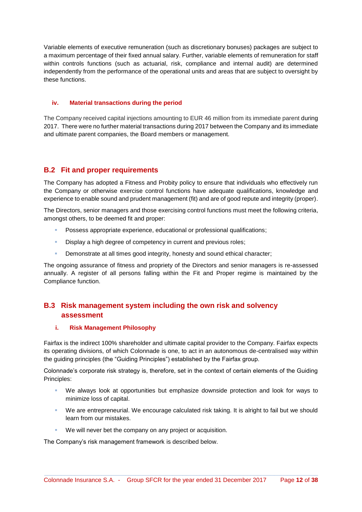Variable elements of executive remuneration (such as discretionary bonuses) packages are subject to a maximum percentage of their fixed annual salary. Further, variable elements of remuneration for staff within controls functions (such as actuarial, risk, compliance and internal audit) are determined independently from the performance of the operational units and areas that are subject to oversight by these functions.

### **iv. Material transactions during the period**

The Company received capital injections amounting to EUR 46 million from its immediate parent during 2017. There were no further material transactions during 2017 between the Company and its immediate and ultimate parent companies, the Board members or management.

### **B.2 Fit and proper requirements**

The Company has adopted a Fitness and Probity policy to ensure that individuals who effectively run the Company or otherwise exercise control functions have adequate qualifications, knowledge and experience to enable sound and prudent management (fit) and are of good repute and integrity (proper).

The Directors, senior managers and those exercising control functions must meet the following criteria, amongst others, to be deemed fit and proper:

- Possess appropriate experience, educational or professional qualifications;
- Display a high degree of competency in current and previous roles;
- **Demonstrate at all times good integrity, honesty and sound ethical character;**

The ongoing assurance of fitness and propriety of the Directors and senior managers is re-assessed annually. A register of all persons falling within the Fit and Proper regime is maintained by the Compliance function.

### **B.3 Risk management system including the own risk and solvency assessment**

### **i. Risk Management Philosophy**

Fairfax is the indirect 100% shareholder and ultimate capital provider to the Company. Fairfax expects its operating divisions, of which Colonnade is one, to act in an autonomous de-centralised way within the guiding principles (the "Guiding Principles") established by the Fairfax group.

Colonnade's corporate risk strategy is, therefore, set in the context of certain elements of the Guiding Principles:

- We always look at opportunities but emphasize downside protection and look for ways to minimize loss of capital.
- We are entrepreneurial. We encourage calculated risk taking. It is alright to fail but we should learn from our mistakes.
- We will never bet the company on any project or acquisition.

The Company's risk management framework is described below.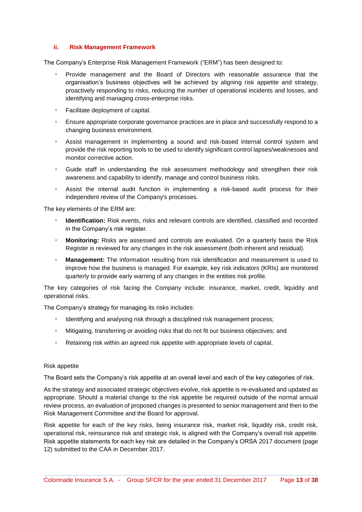#### **ii. Risk Management Framework**

The Company's Enterprise Risk Management Framework ("ERM") has been designed to:

- Provide management and the Board of Directors with reasonable assurance that the organisation's business objectives will be achieved by aligning risk appetite and strategy, proactively responding to risks, reducing the number of operational incidents and losses, and identifying and managing cross-enterprise risks.
- Facilitate deployment of capital.
- **Ensure appropriate corporate governance practices are in place and successfully respond to a** changing business environment.
- Assist management in implementing a sound and risk-based internal control system and provide the risk reporting tools to be used to identify significant control lapses/weaknesses and monitor corrective action.
- Guide staff in understanding the risk assessment methodology and strengthen their risk awareness and capability to identify, manage and control business risks.
- Assist the internal audit function in implementing a risk-based audit process for their independent review of the Company's processes.

The key elements of the ERM are:

- **Identification:** Risk events, risks and relevant controls are identified, classified and recorded in the Company's risk register.
- **Monitoring:** Risks are assessed and controls are evaluated. On a quarterly basis the Risk Register is reviewed for any changes in the risk assessment (both inherent and residual).
- **Management:** The information resulting from risk identification and measurement is used to improve how the business is managed. For example, key risk indicators (KRIs) are monitored quarterly to provide early warning of any changes in the entities risk profile.

The key categories of risk facing the Company include: insurance, market, credit, liquidity and operational risks.

The Company's strategy for managing its risks includes:

- Identifying and analysing risk through a disciplined risk management process;
- Mitigating, transferring or avoiding risks that do not fit our business objectives; and
- **Retaining risk within an agreed risk appetite with appropriate levels of capital.**

#### Risk appetite

The Board sets the Company's risk appetite at an overall level and each of the key categories of risk.

As the strategy and associated strategic objectives evolve, risk appetite is re-evaluated and updated as appropriate. Should a material change to the risk appetite be required outside of the normal annual review process, an evaluation of proposed changes is presented to senior management and then to the Risk Management Committee and the Board for approval.

Risk appetite for each of the key risks, being insurance risk, market risk, liquidity risk, credit risk, operational risk, reinsurance risk and strategic risk, is aligned with the Company's overall risk appetite. Risk appetite statements for each key risk are detailed in the Company's ORSA 2017 document (page 12) submitted to the CAA in December 2017.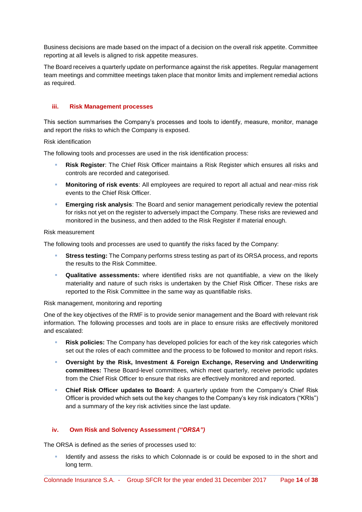Business decisions are made based on the impact of a decision on the overall risk appetite. Committee reporting at all levels is aligned to risk appetite measures.

The Board receives a quarterly update on performance against the risk appetites. Regular management team meetings and committee meetings taken place that monitor limits and implement remedial actions as required.

### **iii. Risk Management processes**

This section summarises the Company's processes and tools to identify, measure, monitor, manage and report the risks to which the Company is exposed.

Risk identification

The following tools and processes are used in the risk identification process:

- **Risk Register**: The Chief Risk Officer maintains a Risk Register which ensures all risks and controls are recorded and categorised.
- **Monitoring of risk events**: All employees are required to report all actual and near-miss risk events to the Chief Risk Officer.
- **Emerging risk analysis**: The Board and senior management periodically review the potential for risks not yet on the register to adversely impact the Company. These risks are reviewed and monitored in the business, and then added to the Risk Register if material enough.

#### Risk measurement

The following tools and processes are used to quantify the risks faced by the Company:

- **Stress testing:** The Company performs stress testing as part of its ORSA process, and reports the results to the Risk Committee.
- **Qualitative assessments:** where identified risks are not quantifiable, a view on the likely materiality and nature of such risks is undertaken by the Chief Risk Officer. These risks are reported to the Risk Committee in the same way as quantifiable risks.

Risk management, monitoring and reporting

One of the key objectives of the RMF is to provide senior management and the Board with relevant risk information. The following processes and tools are in place to ensure risks are effectively monitored and escalated:

- **Risk policies:** The Company has developed policies for each of the key risk categories which set out the roles of each committee and the process to be followed to monitor and report risks.
- **Oversight by the Risk, Investment & Foreign Exchange, Reserving and Underwriting committees:** These Board-level committees, which meet quarterly, receive periodic updates from the Chief Risk Officer to ensure that risks are effectively monitored and reported.
- **Chief Risk Officer updates to Board:** A quarterly update from the Company's Chief Risk Officer is provided which sets out the key changes to the Company's key risk indicators ("KRIs") and a summary of the key risk activities since the last update.

#### **iv. Own Risk and Solvency Assessment** *("ORSA")*

The ORSA is defined as the series of processes used to:

 Identify and assess the risks to which Colonnade is or could be exposed to in the short and long term.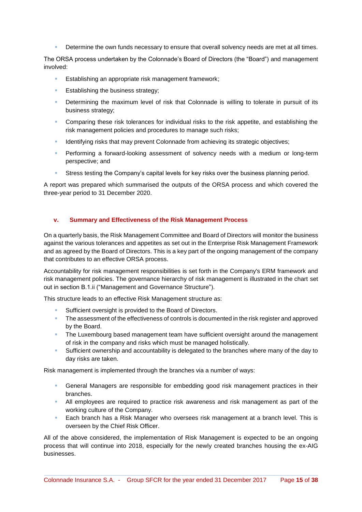Determine the own funds necessary to ensure that overall solvency needs are met at all times.

The ORSA process undertaken by the Colonnade's Board of Directors (the "Board") and management involved:

- Establishing an appropriate risk management framework;
- **Establishing the business strategy;**
- Determining the maximum level of risk that Colonnade is willing to tolerate in pursuit of its business strategy;
- Comparing these risk tolerances for individual risks to the risk appetite, and establishing the risk management policies and procedures to manage such risks;
- Identifying risks that may prevent Colonnade from achieving its strategic objectives;
- **Performing a forward-looking assessment of solvency needs with a medium or long-term** perspective; and
- Stress testing the Company's capital levels for key risks over the business planning period.

A report was prepared which summarised the outputs of the ORSA process and which covered the three-year period to 31 December 2020.

### **v. Summary and Effectiveness of the Risk Management Process**

On a quarterly basis, the Risk Management Committee and Board of Directors will monitor the business against the various tolerances and appetites as set out in the Enterprise Risk Management Framework and as agreed by the Board of Directors. This is a key part of the ongoing management of the company that contributes to an effective ORSA process.

Accountability for risk management responsibilities is set forth in the Company's ERM framework and risk management policies. The governance hierarchy of risk management is illustrated in the chart set out in section B.1.ii ("Management and Governance Structure").

This structure leads to an effective Risk Management structure as:

- Sufficient oversight is provided to the Board of Directors.
- The assessment of the effectiveness of controls is documented in the risk register and approved by the Board.
- **The Luxembourg based management team have sufficient oversight around the management** of risk in the company and risks which must be managed holistically.
- Sufficient ownership and accountability is delegated to the branches where many of the day to day risks are taken.

Risk management is implemented through the branches via a number of ways:

- General Managers are responsible for embedding good risk management practices in their branches.
- All employees are required to practice risk awareness and risk management as part of the working culture of the Company.
- **Each branch has a Risk Manager who oversees risk management at a branch level. This is** overseen by the Chief Risk Officer.

All of the above considered, the implementation of Risk Management is expected to be an ongoing process that will continue into 2018, especially for the newly created branches housing the ex-AIG businesses.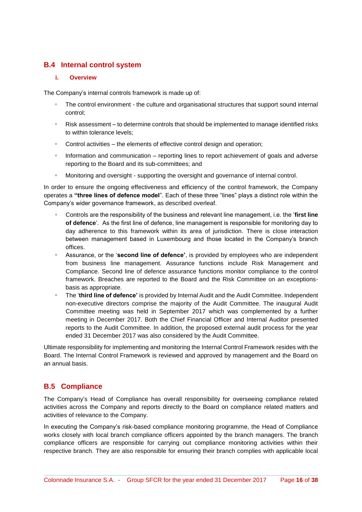### **B.4 Internal control system**

#### **i. Overview**

The Company's internal controls framework is made up of:

- The control environment the culture and organisational structures that support sound internal control;
- Risk assessment to determine controls that should be implemented to manage identified risks to within tolerance levels;
- Control activities the elements of effective control design and operation;
- Information and communication reporting lines to report achievement of goals and adverse reporting to the Board and its sub-committees; and
- Monitoring and oversight supporting the oversight and governance of internal control.

In order to ensure the ongoing effectiveness and efficiency of the control framework, the Company operates a **"three lines of defence model**". Each of these three "lines" plays a distinct role within the Company's wider governance framework, as described overleaf.

- Controls are the responsibility of the business and relevant line management, i.e. the '**first line of defence**'. As the first line of defence, line management is responsible for monitoring day to day adherence to this framework within its area of jurisdiction. There is close interaction between management based in Luxembourg and those located in the Company's branch offices.
- Assurance, or the '**second line of defence'**, is provided by employees who are independent from business line management. Assurance functions include Risk Management and Compliance. Second line of defence assurance functions monitor compliance to the control framework. Breaches are reported to the Board and the Risk Committee on an exceptionsbasis as appropriate.
- The '**third line of defence'** is provided by Internal Audit and the Audit Committee. Independent non-executive directors comprise the majority of the Audit Committee. The inaugural Audit Committee meeting was held in September 2017 which was complemented by a further meeting in December 2017. Both the Chief Financial Officer and Internal Auditor presented reports to the Audit Committee. In addition, the proposed external audit process for the year ended 31 December 2017 was also considered by the Audit Committee.

Ultimate responsibility for implementing and monitoring the Internal Control Framework resides with the Board. The Internal Control Framework is reviewed and approved by management and the Board on an annual basis.

### **B.5 Compliance**

The Company's Head of Compliance has overall responsibility for overseeing compliance related activities across the Company and reports directly to the Board on compliance related matters and activities of relevance to the Company.

In executing the Company's risk-based compliance monitoring programme, the Head of Compliance works closely with local branch compliance officers appointed by the branch managers. The branch compliance officers are responsible for carrying out compliance monitoring activities within their respective branch. They are also responsible for ensuring their branch complies with applicable local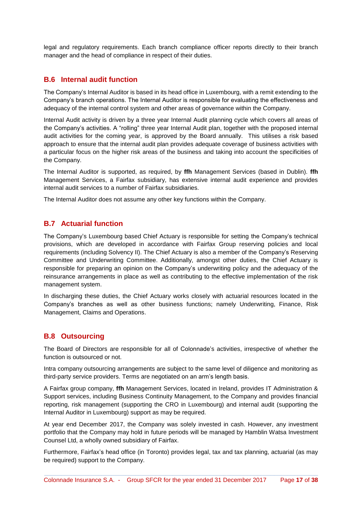legal and regulatory requirements. Each branch compliance officer reports directly to their branch manager and the head of compliance in respect of their duties.

### **B.6 Internal audit function**

The Company's Internal Auditor is based in its head office in Luxembourg, with a remit extending to the Company's branch operations. The Internal Auditor is responsible for evaluating the effectiveness and adequacy of the internal control system and other areas of governance within the Company.

Internal Audit activity is driven by a three year Internal Audit planning cycle which covers all areas of the Company's activities. A "rolling" three year Internal Audit plan, together with the proposed internal audit activities for the coming year, is approved by the Board annually. This utilises a risk based approach to ensure that the internal audit plan provides adequate coverage of business activities with a particular focus on the higher risk areas of the business and taking into account the specificities of the Company.

The Internal Auditor is supported, as required, by **ffh** Management Services (based in Dublin). **ffh**  Management Services, a Fairfax subsidiary, has extensive internal audit experience and provides internal audit services to a number of Fairfax subsidiaries.

The Internal Auditor does not assume any other key functions within the Company.

### **B.7 Actuarial function**

The Company's Luxembourg based Chief Actuary is responsible for setting the Company's technical provisions, which are developed in accordance with Fairfax Group reserving policies and local requirements (including Solvency II). The Chief Actuary is also a member of the Company's Reserving Committee and Underwriting Committee. Additionally, amongst other duties, the Chief Actuary is responsible for preparing an opinion on the Company's underwriting policy and the adequacy of the reinsurance arrangements in place as well as contributing to the effective implementation of the risk management system.

In discharging these duties, the Chief Actuary works closely with actuarial resources located in the Company's branches as well as other business functions; namely Underwriting, Finance, Risk Management, Claims and Operations.

### **B.8 Outsourcing**

The Board of Directors are responsible for all of Colonnade's activities, irrespective of whether the function is outsourced or not.

Intra company outsourcing arrangements are subject to the same level of diligence and monitoring as third-party service providers. Terms are negotiated on an arm's length basis.

A Fairfax group company, **ffh** Management Services, located in Ireland, provides IT Administration & Support services, including Business Continuity Management, to the Company and provides financial reporting, risk management (supporting the CRO in Luxembourg) and internal audit (supporting the Internal Auditor in Luxembourg) support as may be required.

At year end December 2017, the Company was solely invested in cash. However, any investment portfolio that the Company may hold in future periods will be managed by Hamblin Watsa Investment Counsel Ltd, a wholly owned subsidiary of Fairfax.

Furthermore, Fairfax's head office (in Toronto) provides legal, tax and tax planning, actuarial (as may be required) support to the Company.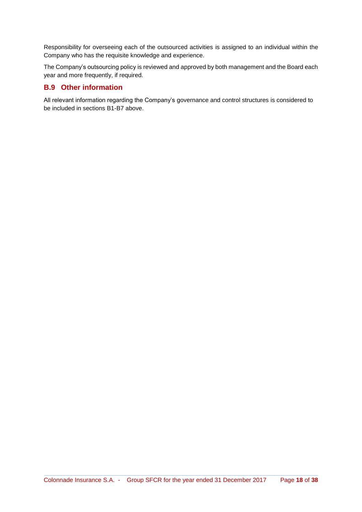Responsibility for overseeing each of the outsourced activities is assigned to an individual within the Company who has the requisite knowledge and experience.

The Company's outsourcing policy is reviewed and approved by both management and the Board each year and more frequently, if required.

### **B.9 Other information**

All relevant information regarding the Company's governance and control structures is considered to be included in sections B1-B7 above.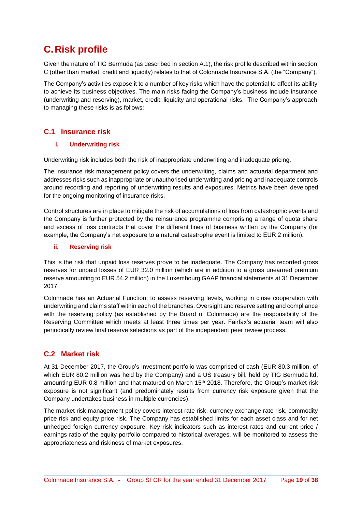# **C. Risk profile**

Given the nature of TIG Bermuda (as described in section A.1), the risk profile described within section C (other than market, credit and liquidity) relates to that of Colonnade Insurance S.A. (the "Company").

The Company's activities expose it to a number of key risks which have the potential to affect its ability to achieve its business objectives. The main risks facing the Company's business include insurance (underwriting and reserving), market, credit, liquidity and operational risks. The Company's approach to managing these risks is as follows:

### **C.1 Insurance risk**

### **i. Underwriting risk**

Underwriting risk includes both the risk of inappropriate underwriting and inadequate pricing.

The insurance risk management policy covers the underwriting, claims and actuarial department and addresses risks such as inappropriate or unauthorised underwriting and pricing and inadequate controls around recording and reporting of underwriting results and exposures. Metrics have been developed for the ongoing monitoring of insurance risks.

Control structures are in place to mitigate the risk of accumulations of loss from catastrophic events and the Company is further protected by the reinsurance programme comprising a range of quota share and excess of loss contracts that cover the different lines of business written by the Company (for example, the Company's net exposure to a natural catastrophe event is limited to EUR 2 million).

### **ii. Reserving risk**

This is the risk that unpaid loss reserves prove to be inadequate. The Company has recorded gross reserves for unpaid losses of EUR 32.0 million (which are in addition to a gross unearned premium reserve amounting to EUR 54.2 million) in the Luxembourg GAAP financial statements at 31 December 2017.

Colonnade has an Actuarial Function, to assess reserving levels, working in close cooperation with underwriting and claims staff within each of the branches. Oversight and reserve setting and compliance with the reserving policy (as established by the Board of Colonnade) are the responsibility of the Reserving Committee which meets at least three times per year. Fairfax's actuarial team will also periodically review final reserve selections as part of the independent peer review process.

### **C.2 Market risk**

At 31 December 2017, the Group's investment portfolio was comprised of cash (EUR 80.3 million, of which EUR 80.2 million was held by the Company) and a US treasury bill, held by TIG Bermuda ltd, amounting EUR 0.8 million and that matured on March 15<sup>th</sup> 2018. Therefore, the Group's market risk exposure is not significant (and predominately results from currency risk exposure given that the Company undertakes business in multiple currencies).

The market risk management policy covers interest rate risk, currency exchange rate risk, commodity price risk and equity price risk. The Company has established limits for each asset class and for net unhedged foreign currency exposure. Key risk indicators such as interest rates and current price / earnings ratio of the equity portfolio compared to historical averages, will be monitored to assess the appropriateness and riskiness of market exposures.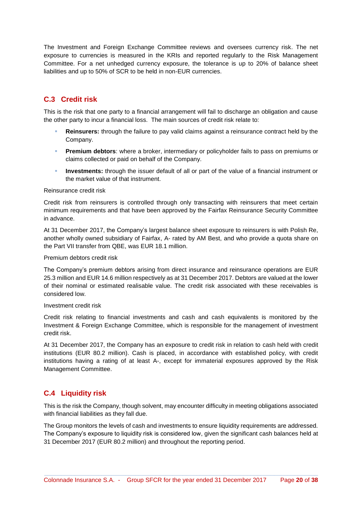The Investment and Foreign Exchange Committee reviews and oversees currency risk. The net exposure to currencies is measured in the KRIs and reported regularly to the Risk Management Committee. For a net unhedged currency exposure, the tolerance is up to 20% of balance sheet liabilities and up to 50% of SCR to be held in non-EUR currencies.

### **C.3 Credit risk**

This is the risk that one party to a financial arrangement will fail to discharge an obligation and cause the other party to incur a financial loss. The main sources of credit risk relate to:

- **Reinsurers:** through the failure to pay valid claims against a reinsurance contract held by the Company.
- **Premium debtors**: where a broker, intermediary or policyholder fails to pass on premiums or claims collected or paid on behalf of the Company.
- **Investments:** through the issuer default of all or part of the value of a financial instrument or the market value of that instrument.

#### Reinsurance credit risk

Credit risk from reinsurers is controlled through only transacting with reinsurers that meet certain minimum requirements and that have been approved by the Fairfax Reinsurance Security Committee in advance.

At 31 December 2017, the Company's largest balance sheet exposure to reinsurers is with Polish Re, another wholly owned subsidiary of Fairfax, A- rated by AM Best, and who provide a quota share on the Part VII transfer from QBE, was EUR 18.1 million.

#### Premium debtors credit risk

The Company's premium debtors arising from direct insurance and reinsurance operations are EUR 25.3 million and EUR 14.6 million respectively as at 31 December 2017. Debtors are valued at the lower of their nominal or estimated realisable value. The credit risk associated with these receivables is considered low.

#### Investment credit risk

Credit risk relating to financial investments and cash and cash equivalents is monitored by the Investment & Foreign Exchange Committee, which is responsible for the management of investment credit risk.

At 31 December 2017, the Company has an exposure to credit risk in relation to cash held with credit institutions (EUR 80.2 million). Cash is placed, in accordance with established policy, with credit institutions having a rating of at least A-, except for immaterial exposures approved by the Risk Management Committee.

### **C.4 Liquidity risk**

This is the risk the Company, though solvent, may encounter difficulty in meeting obligations associated with financial liabilities as they fall due.

The Group monitors the levels of cash and investments to ensure liquidity requirements are addressed. The Company's exposure to liquidity risk is considered low, given the significant cash balances held at 31 December 2017 (EUR 80.2 million) and throughout the reporting period.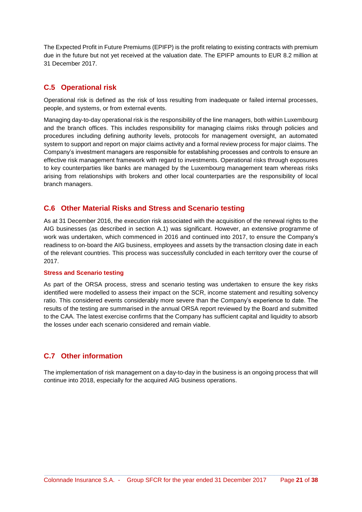The Expected Profit in Future Premiums (EPIFP) is the profit relating to existing contracts with premium due in the future but not yet received at the valuation date. The EPIFP amounts to EUR 8.2 million at 31 December 2017.

### **C.5 Operational risk**

Operational risk is defined as the risk of loss resulting from inadequate or failed internal processes, people, and systems, or from external events.

Managing day-to-day operational risk is the responsibility of the line managers, both within Luxembourg and the branch offices. This includes responsibility for managing claims risks through policies and procedures including defining authority levels, protocols for management oversight, an automated system to support and report on major claims activity and a formal review process for major claims. The Company's investment managers are responsible for establishing processes and controls to ensure an effective risk management framework with regard to investments. Operational risks through exposures to key counterparties like banks are managed by the Luxembourg management team whereas risks arising from relationships with brokers and other local counterparties are the responsibility of local branch managers.

### **C.6 Other Material Risks and Stress and Scenario testing**

As at 31 December 2016, the execution risk associated with the acquisition of the renewal rights to the AIG businesses (as described in section A.1) was significant. However, an extensive programme of work was undertaken, which commenced in 2016 and continued into 2017, to ensure the Company's readiness to on-board the AIG business, employees and assets by the transaction closing date in each of the relevant countries. This process was successfully concluded in each territory over the course of 2017.

#### **Stress and Scenario testing**

As part of the ORSA process, stress and scenario testing was undertaken to ensure the key risks identified were modelled to assess their impact on the SCR, income statement and resulting solvency ratio. This considered events considerably more severe than the Company's experience to date. The results of the testing are summarised in the annual ORSA report reviewed by the Board and submitted to the CAA. The latest exercise confirms that the Company has sufficient capital and liquidity to absorb the losses under each scenario considered and remain viable.

### **C.7 Other information**

The implementation of risk management on a day-to-day in the business is an ongoing process that will continue into 2018, especially for the acquired AIG business operations.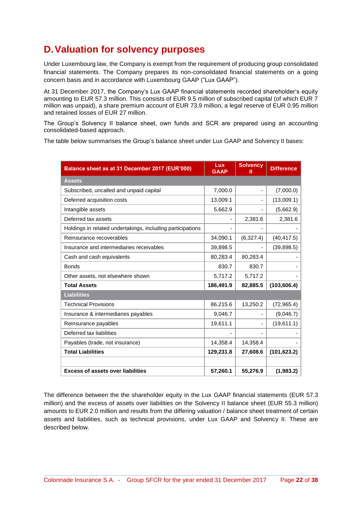## **D. Valuation for solvency purposes**

Under Luxembourg law, the Company is exempt from the requirement of producing group consolidated financial statements. The Company prepares its non-consolidated financial statements on a going concern basis and in accordance with Luxembourg GAAP ("Lux GAAP").

At 31 December 2017, the Company's Lux GAAP financial statements recorded shareholder's equity amounting to EUR 57.3 million. This consists of EUR 9.5 million of subscribed capital (of which EUR 7 million was unpaid), a share premium account of EUR 73.9 million, a legal reserve of EUR 0.95 million and retained losses of EUR 27 million.

The Group's Solvency II balance sheet, own funds and SCR are prepared using an accounting consolidated-based approach.

The table below summarises the Group's balance sheet under Lux GAAP and Solvency II bases:

| Balance sheet as at 31 December 2017 (EUR'000)             | Lux<br><b>GAAP</b> | <b>Solvency</b><br>Ш | <b>Difference</b> |
|------------------------------------------------------------|--------------------|----------------------|-------------------|
| <b>Assets</b>                                              |                    |                      |                   |
| Subscribed, uncalled and unpaid capital                    | 7,000.0            |                      | (7,000.0)         |
| Deferred acquisition costs                                 | 13,009.1           |                      | (13,009.1)        |
| Intangible assets                                          | 5,662.9            |                      | (5,662.9)         |
| Deferred tax assets                                        |                    | 2,381.6              | 2,381.6           |
| Holdings in related undertakings, including participations |                    |                      |                   |
| Reinsurance recoverables                                   | 34,090.1           | (6,327.4)            | (40, 417.5)       |
| Insurance and intermediaries receivables                   | 39,898.5           |                      | (39, 898.5)       |
| Cash and cash equivalents                                  | 80,283.4           | 80,283.4             |                   |
| <b>Bonds</b>                                               | 830.7              | 830.7                |                   |
| Other assets, not elsewhere shown                          | 5,717.2            | 5,717.2              |                   |
| <b>Total Assets</b>                                        | 186,491.9          | 82,885.5             | (103, 606.4)      |
| <b>Liabilities</b>                                         |                    |                      |                   |
| <b>Technical Provisions</b>                                | 86,215.6           | 13,250.2             | (72, 965.4)       |
| Insurance & intermediaries payables                        | 9,046.7            |                      | (9,046.7)         |
| Reinsurance payables                                       | 19,611.1           |                      | (19,611.1)        |
| Deferred tax liabilities                                   |                    |                      |                   |
| Payables (trade, not insurance)                            | 14,358.4           | 14,358.4             |                   |
| <b>Total Liabilities</b>                                   | 129,231.8          | 27,608.6             | (101, 623.2)      |
|                                                            |                    |                      |                   |
| <b>Excess of assets over liabilities</b>                   | 57,260.1           | 55,276.9             | (1,983.2)         |

The difference between the the shareholder equity in the Lux GAAP financial statements (EUR 57.3 million) and the excess of assets over liabilities on the Solvency II balance sheet (EUR 55.3 million) amounts to EUR 2.0 million and results from the differing valuation / balance sheet treatment of certain assets and liabilities, such as technical provisions, under Lux GAAP and Solvency II. These are described below.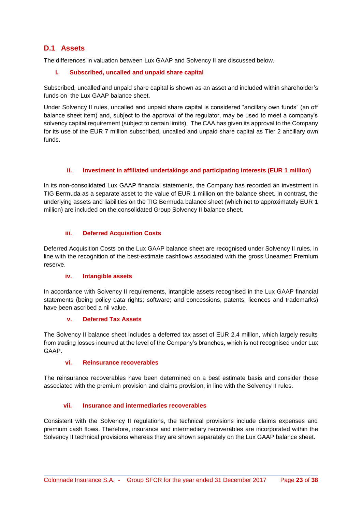### **D.1 Assets**

The differences in valuation between Lux GAAP and Solvency II are discussed below.

### **i. Subscribed, uncalled and unpaid share capital**

Subscribed, uncalled and unpaid share capital is shown as an asset and included within shareholder's funds on the Lux GAAP balance sheet.

Under Solvency II rules, uncalled and unpaid share capital is considered "ancillary own funds" (an off balance sheet item) and, subject to the approval of the regulator, may be used to meet a company's solvency capital requirement (subject to certain limits). The CAA has given its approval to the Company for its use of the EUR 7 million subscribed, uncalled and unpaid share capital as Tier 2 ancillary own funds.

### **ii. Investment in affiliated undertakings and participating interests (EUR 1 million)**

In its non-consolidated Lux GAAP financial statements, the Company has recorded an investment in TIG Bermuda as a separate asset to the value of EUR 1 million on the balance sheet. In contrast, the underlying assets and liabilities on the TIG Bermuda balance sheet (which net to approximately EUR 1 million) are included on the consolidated Group Solvency II balance sheet.

### **iii. Deferred Acquisition Costs**

Deferred Acquisition Costs on the Lux GAAP balance sheet are recognised under Solvency II rules, in line with the recognition of the best-estimate cashflows associated with the gross Unearned Premium reserve.

### **iv. Intangible assets**

In accordance with Solvency II requirements, intangible assets recognised in the Lux GAAP financial statements (being policy data rights; software; and concessions, patents, licences and trademarks) have been ascribed a nil value.

### **v. Deferred Tax Assets**

The Solvency II balance sheet includes a deferred tax asset of EUR 2.4 million, which largely results from trading losses incurred at the level of the Company's branches, which is not recognised under Lux GAAP.

### **vi. Reinsurance recoverables**

The reinsurance recoverables have been determined on a best estimate basis and consider those associated with the premium provision and claims provision, in line with the Solvency II rules.

### **vii. Insurance and intermediaries recoverables**

Consistent with the Solvency II regulations, the technical provisions include claims expenses and premium cash flows. Therefore, insurance and intermediary recoverables are incorporated within the Solvency II technical provisions whereas they are shown separately on the Lux GAAP balance sheet.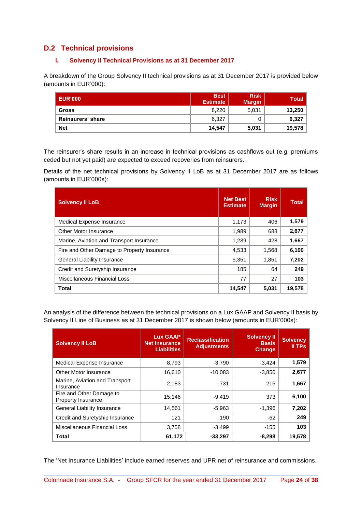### **D.2 Technical provisions**

### **i. Solvency II Technical Provisions as at 31 December 2017**

A breakdown of the Group Solvency II technical provisions as at 31 December 2017 is provided below (amounts in EUR'000):

| <b>LEUR'000</b>   | <b>Best</b><br><b>Estimate</b> | <b>Risk</b><br><b>Margin</b> | <b>Total</b> |
|-------------------|--------------------------------|------------------------------|--------------|
| <b>Gross</b>      | 8,220                          | 5,031                        | 13,250       |
| Reinsurers' share | 6.327                          |                              | 6,327        |
| <b>Net</b>        | 14,547                         | 5,031                        | 19,578       |

The reinsurer's share results in an increase in technical provisions as cashflows out (e.g. premiums ceded but not yet paid) are expected to exceed recoveries from reinsurers.

Details of the net technical provisions by Solvency II LoB as at 31 December 2017 are as follows (amounts in EUR'000s):

| <b>Solvency II LoB</b>                      | <b>Net Best</b><br><b>Estimate</b> | <b>Risk</b><br><b>Margin</b> | <b>Total</b> |
|---------------------------------------------|------------------------------------|------------------------------|--------------|
| Medical Expense Insurance                   | 1,173                              | 406                          | 1,579        |
| Other Motor Insurance                       | 1,989                              | 688                          | 2,677        |
| Marine, Aviation and Transport Insurance    | 1,239                              | 428                          | 1,667        |
| Fire and Other Damage to Property Insurance | 4,533                              | 1,568                        | 6,100        |
| <b>General Liability Insurance</b>          | 5,351                              | 1,851                        | 7,202        |
| Credit and Suretyship Insurance             | 185                                | 64                           | 249          |
| Miscellaneous Financial Loss                | 77                                 | 27                           | 103          |
| <b>Total</b>                                | 14.547                             | 5.031                        | 19,578       |

An analysis of the difference between the technical provisions on a Lux GAAP and Solvency II basis by Solvency II Line of Business as at 31 December 2017 is shown below (amounts in EUR'000s):

| <b>Solvency II LoB</b>                                | <b>Lux GAAP</b><br><b>Net Insurance</b><br><b>Liabilities</b> | <b>Reclassification</b><br><b>Adjustments</b> | <b>Solvency II</b><br><b>Basis</b><br><b>Change</b> | <b>Solvency</b><br>II TPs |
|-------------------------------------------------------|---------------------------------------------------------------|-----------------------------------------------|-----------------------------------------------------|---------------------------|
| Medical Expense Insurance                             | 8,793                                                         | $-3,790$                                      | $-3,424$                                            | 1,579                     |
| Other Motor Insurance                                 | 16,610                                                        | $-10,083$                                     | $-3,850$                                            | 2,677                     |
| Marine, Aviation and Transport<br>Insurance           | 2,183                                                         | -731                                          | 216                                                 | 1,667                     |
| Fire and Other Damage to<br><b>Property Insurance</b> | 15,146                                                        | $-9.419$                                      | 373                                                 | 6,100                     |
| <b>General Liability Insurance</b>                    | 14,561                                                        | $-5,963$                                      | $-1,396$                                            | 7,202                     |
| Credit and Suretyship Insurance                       | 121                                                           | 190                                           | $-62$                                               | 249                       |
| Miscellaneous Financial Loss                          | 3,758                                                         | $-3,499$                                      | $-155$                                              | 103                       |
| <b>Total</b>                                          | 61,172                                                        | $-33,297$                                     | $-8,298$                                            | 19,578                    |

The 'Net Insurance Liabilities' include earned reserves and UPR net of reinsurance and commissions.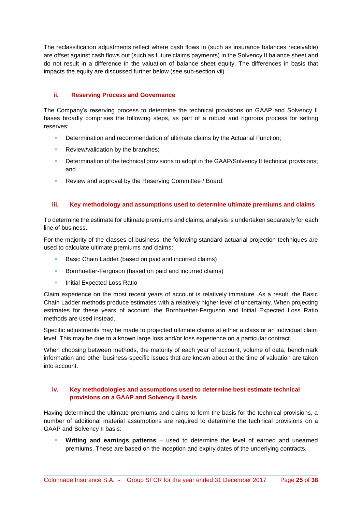The reclassification adjustments reflect where cash flows in (such as insurance balances receivable) are offset against cash flows out (such as future claims payments) in the Solvency II balance sheet and do not result in a difference in the valuation of balance sheet equity. The differences in basis that impacts the equity are discussed further below (see sub-section vii).

### **ii. Reserving Process and Governance**

The Company's reserving process to determine the technical provisions on GAAP and Solvency II bases broadly comprises the following steps, as part of a robust and rigorous process for setting reserves:

- **Determination and recommendation of ultimate claims by the Actuarial Function:**
- **Review/validation by the branches;**
- **Determination of the technical provisions to adopt in the GAAP/Solvency II technical provisions;** and
- Review and approval by the Reserving Committee / Board.

### **iii. Key methodology and assumptions used to determine ultimate premiums and claims**

To determine the estimate for ultimate premiums and claims, analysis is undertaken separately for each line of business.

For the majority of the classes of business, the following standard actuarial projection techniques are used to calculate ultimate premiums and claims:

- Basic Chain Ladder (based on paid and incurred claims)
- **Bornhuetter-Ferguson (based on paid and incurred claims)**
- **Initial Expected Loss Ratio**

Claim experience on the most recent years of account is relatively immature. As a result, the Basic Chain Ladder methods produce estimates with a relatively higher level of uncertainty. When projecting estimates for these years of account, the Bornhuetter-Ferguson and Initial Expected Loss Ratio methods are used instead.

Specific adjustments may be made to projected ultimate claims at either a class or an individual claim level. This may be due to a known large loss and/or loss experience on a particular contract.

When choosing between methods, the maturity of each year of account, volume of data, benchmark information and other business-specific issues that are known about at the time of valuation are taken into account.

### **iv. Key methodologies and assumptions used to determine best estimate technical provisions on a GAAP and Solvency II basis**

Having determined the ultimate premiums and claims to form the basis for the technical provisions, a number of additional material assumptions are required to determine the technical provisions on a GAAP and Solvency II basis:

 **Writing and earnings patterns** – used to determine the level of earned and unearned premiums. These are based on the inception and expiry dates of the underlying contracts.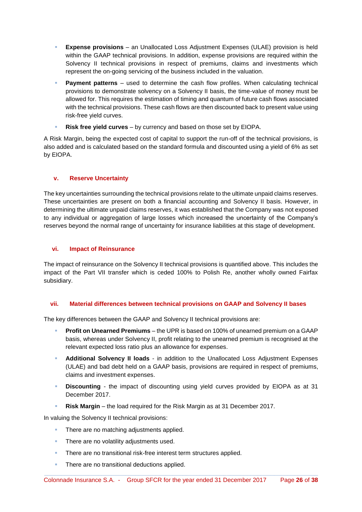- **Expense provisions** an Unallocated Loss Adjustment Expenses (ULAE) provision is held within the GAAP technical provisions. In addition, expense provisions are required within the Solvency II technical provisions in respect of premiums, claims and investments which represent the on-going servicing of the business included in the valuation.
- **Payment patterns** used to determine the cash flow profiles. When calculating technical provisions to demonstrate solvency on a Solvency II basis, the time-value of money must be allowed for. This requires the estimation of timing and quantum of future cash flows associated with the technical provisions. These cash flows are then discounted back to present value using risk-free yield curves.
- **Risk free yield curves** by currency and based on those set by EIOPA.

A Risk Margin, being the expected cost of capital to support the run-off of the technical provisions, is also added and is calculated based on the standard formula and discounted using a yield of 6% as set by EIOPA.

### **v. Reserve Uncertainty**

The key uncertainties surrounding the technical provisions relate to the ultimate unpaid claims reserves. These uncertainties are present on both a financial accounting and Solvency II basis. However, in determining the ultimate unpaid claims reserves, it was established that the Company was not exposed to any individual or aggregation of large losses which increased the uncertainty of the Company's reserves beyond the normal range of uncertainty for insurance liabilities at this stage of development.

### **vi. Impact of Reinsurance**

The impact of reinsurance on the Solvency II technical provisions is quantified above. This includes the impact of the Part VII transfer which is ceded 100% to Polish Re, another wholly owned Fairfax subsidiary.

### **vii. Material differences between technical provisions on GAAP and Solvency II bases**

The key differences between the GAAP and Solvency II technical provisions are:

- **Profit on Unearned Premiums** the UPR is based on 100% of unearned premium on a GAAP basis, whereas under Solvency II, profit relating to the unearned premium is recognised at the relevant expected loss ratio plus an allowance for expenses.
- **Additional Solvency II loads** in addition to the Unallocated Loss Adjustment Expenses (ULAE) and bad debt held on a GAAP basis, provisions are required in respect of premiums, claims and investment expenses.
- **Discounting** the impact of discounting using yield curves provided by EIOPA as at 31 December 2017.
- **Risk Margin** the load required for the Risk Margin as at 31 December 2017.

In valuing the Solvency II technical provisions:

- There are no matching adjustments applied.
- **There are no volatility adjustments used.**
- **There are no transitional risk-free interest term structures applied.**
- **There are no transitional deductions applied.**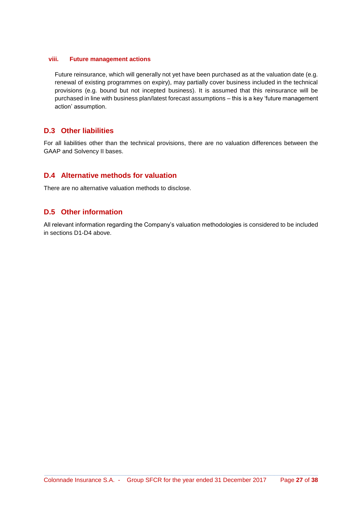### **viii. Future management actions**

Future reinsurance, which will generally not yet have been purchased as at the valuation date (e.g. renewal of existing programmes on expiry), may partially cover business included in the technical provisions (e.g. bound but not incepted business). It is assumed that this reinsurance will be purchased in line with business plan/latest forecast assumptions – this is a key 'future management action' assumption.

### **D.3 Other liabilities**

For all liabilities other than the technical provisions, there are no valuation differences between the GAAP and Solvency II bases.

### **D.4 Alternative methods for valuation**

There are no alternative valuation methods to disclose.

### **D.5 Other information**

All relevant information regarding the Company's valuation methodologies is considered to be included in sections D1-D4 above.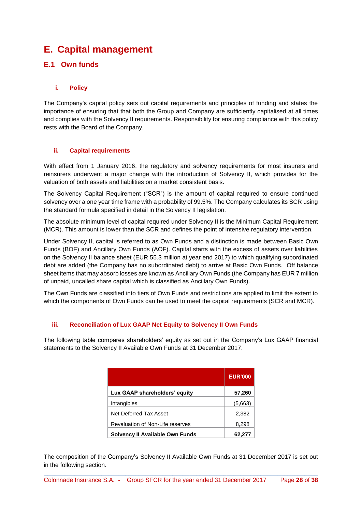# **E. Capital management**

### **E.1 Own funds**

### **i. Policy**

The Company's capital policy sets out capital requirements and principles of funding and states the importance of ensuring that that both the Group and Company are sufficiently capitalised at all times and complies with the Solvency II requirements. Responsibility for ensuring compliance with this policy rests with the Board of the Company.

### **ii. Capital requirements**

With effect from 1 January 2016, the regulatory and solvency requirements for most insurers and reinsurers underwent a major change with the introduction of Solvency II, which provides for the valuation of both assets and liabilities on a market consistent basis.

The Solvency Capital Requirement ("SCR") is the amount of capital required to ensure continued solvency over a one year time frame with a probability of 99.5%. The Company calculates its SCR using the standard formula specified in detail in the Solvency II legislation.

The absolute minimum level of capital required under Solvency II is the Minimum Capital Requirement (MCR). This amount is lower than the SCR and defines the point of intensive regulatory intervention.

Under Solvency II, capital is referred to as Own Funds and a distinction is made between Basic Own Funds (BOF) and Ancillary Own Funds (AOF). Capital starts with the excess of assets over liabilities on the Solvency II balance sheet (EUR 55.3 million at year end 2017) to which qualifying subordinated debt are added (the Company has no subordinated debt) to arrive at Basic Own Funds. Off balance sheet items that may absorb losses are known as Ancillary Own Funds (the Company has EUR 7 million of unpaid, uncalled share capital which is classified as Ancillary Own Funds).

The Own Funds are classified into tiers of Own Funds and restrictions are applied to limit the extent to which the components of Own Funds can be used to meet the capital requirements (SCR and MCR).

### **iii. Reconciliation of Lux GAAP Net Equity to Solvency II Own Funds**

The following table compares shareholders' equity as set out in the Company's Lux GAAP financial statements to the Solvency II Available Own Funds at 31 December 2017.

|                                  | <b>EUR'000</b> |
|----------------------------------|----------------|
| Lux GAAP shareholders' equity    | 57,260         |
| Intangibles                      | (5,663)        |
| Net Deferred Tax Asset           | 2,382          |
| Revaluation of Non-Life reserves | 8,298          |
| Solvency II Available Own Funds  | 62,277         |

The composition of the Company's Solvency II Available Own Funds at 31 December 2017 is set out in the following section.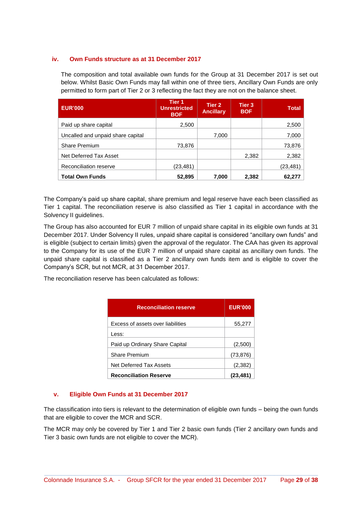### **iv. Own Funds structure as at 31 December 2017**

The composition and total available own funds for the Group at 31 December 2017 is set out below. Whilst Basic Own Funds may fall within one of three tiers, Ancillary Own Funds are only permitted to form part of Tier 2 or 3 reflecting the fact they are not on the balance sheet.

| <b>EUR'000</b>                    | /Tier 1<br><b>Unrestricted</b><br><b>BOF</b> | Tier 2<br><b>Ancillary</b> | Tier 3<br><b>BOF</b> | <b>Total</b> |
|-----------------------------------|----------------------------------------------|----------------------------|----------------------|--------------|
| Paid up share capital             | 2,500                                        |                            |                      | 2,500        |
| Uncalled and unpaid share capital |                                              | 7,000                      |                      | 7,000        |
| <b>Share Premium</b>              | 73,876                                       |                            |                      | 73,876       |
| Net Deferred Tax Asset            |                                              |                            | 2,382                | 2,382        |
| Reconciliation reserve            | (23,481)                                     |                            |                      | (23, 481)    |
| <b>Total Own Funds</b>            | 52,895                                       | 7,000                      | 2,382                | 62.27        |

The Company's paid up share capital, share premium and legal reserve have each been classified as Tier 1 capital. The reconciliation reserve is also classified as Tier 1 capital in accordance with the Solvency II guidelines.

The Group has also accounted for EUR 7 million of unpaid share capital in its eligible own funds at 31 December 2017. Under Solvency II rules, unpaid share capital is considered "ancillary own funds" and is eligible (subject to certain limits) given the approval of the regulator. The CAA has given its approval to the Company for its use of the EUR 7 million of unpaid share capital as ancillary own funds. The unpaid share capital is classified as a Tier 2 ancillary own funds item and is eligible to cover the Company's SCR, but not MCR, at 31 December 2017.

The reconciliation reserve has been calculated as follows:

| <b>Reconciliation reserve</b>     | <b>EUR'000</b> |
|-----------------------------------|----------------|
| Excess of assets over liabilities | 55,277         |
| Less:                             |                |
| Paid up Ordinary Share Capital    | (2,500)        |
| <b>Share Premium</b>              | (73, 876)      |
| Net Deferred Tax Assets           | (2, 382)       |
| <b>Reconciliation Reserve</b>     | (23,481)       |

### **v. Eligible Own Funds at 31 December 2017**

The classification into tiers is relevant to the determination of eligible own funds – being the own funds that are eligible to cover the MCR and SCR.

The MCR may only be covered by Tier 1 and Tier 2 basic own funds (Tier 2 ancillary own funds and Tier 3 basic own funds are not eligible to cover the MCR).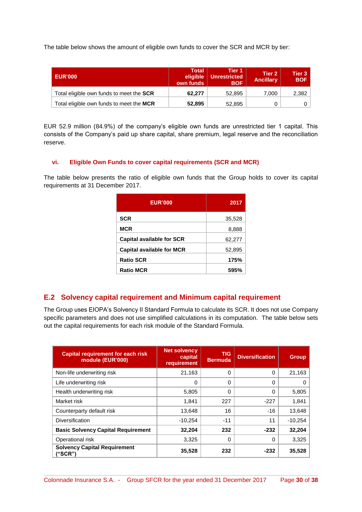The table below shows the amount of eligible own funds to cover the SCR and MCR by tier:

| <b>EUR'000</b>                                  | Total<br>eligible<br>own funds | Tier 1<br>Unrestricted<br><b>BOF</b> | Tier 2<br><b>Ancillary</b> | Tier 3<br><b>BOF</b> |
|-------------------------------------------------|--------------------------------|--------------------------------------|----------------------------|----------------------|
| Total eligible own funds to meet the <b>SCR</b> | 62.277                         | 52.895                               | 7.000                      | 2,382                |
| Total eligible own funds to meet the MCR        | 52,895                         | 52.895                               |                            |                      |

EUR 52.9 million (84.9%) of the company's eligible own funds are unrestricted tier 1 capital. This consists of the Company's paid up share capital, share premium, legal reserve and the reconciliation reserve.

### **vi. Eligible Own Funds to cover capital requirements (SCR and MCR)**

The table below presents the ratio of eligible own funds that the Group holds to cover its capital requirements at 31 December 2017.

| <b>EUR'000</b>                   | 2017   |
|----------------------------------|--------|
| <b>SCR</b>                       | 35,528 |
| <b>MCR</b>                       | 8,888  |
| <b>Capital available for SCR</b> | 62,277 |
| <b>Capital available for MCR</b> | 52,895 |
| <b>Ratio SCR</b>                 | 175%   |
| <b>Ratio MCR</b>                 | 595%   |

### **E.2 Solvency capital requirement and Minimum capital requirement**

The Group uses EIOPA's Solvency II Standard Formula to calculate its SCR. It does not use Company specific parameters and does not use simplified calculations in its computation. The table below sets out the capital requirements for each risk module of the Standard Formula.

| <b>Capital requirement for each risk</b><br>module (EUR'000) | <b>Net solvency</b><br>capital<br>requirement | <b>TIG</b><br><b>Bermuda</b> | <b>Diversification</b> | <b>Group</b> |
|--------------------------------------------------------------|-----------------------------------------------|------------------------------|------------------------|--------------|
| Non-life underwriting risk                                   | 21,163                                        | $\Omega$                     | 0                      | 21,163       |
| Life underwriting risk                                       | 0                                             | $\Omega$                     | 0                      |              |
| Health underwriting risk                                     | 5,805                                         | 0                            | 0                      | 5,805        |
| Market risk                                                  | 1,841                                         | 227                          | $-227$                 | 1,841        |
| Counterparty default risk                                    | 13,648                                        | 16                           | $-16$                  | 13,648       |
| Diversification                                              | $-10,254$                                     | $-11$                        | 11                     | $-10,254$    |
| <b>Basic Solvency Capital Requirement</b>                    | 32,204                                        | 232                          | $-232$                 | 32,204       |
| Operational risk                                             | 3,325                                         | $\Omega$                     | 0                      | 3,325        |
| <b>Solvency Capital Requirement</b><br>("SCR")               | 35,528                                        | 232                          | $-232$                 | 35,528       |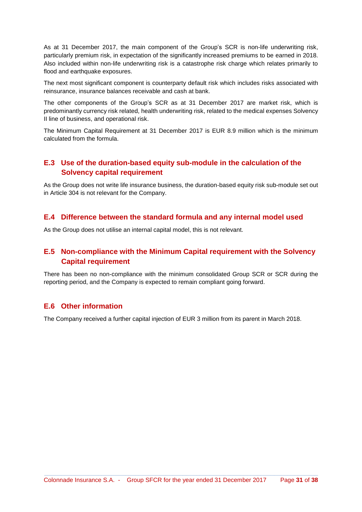As at 31 December 2017, the main component of the Group's SCR is non-life underwriting risk, particularly premium risk, in expectation of the significantly increased premiums to be earned in 2018. Also included within non-life underwriting risk is a catastrophe risk charge which relates primarily to flood and earthquake exposures.

The next most significant component is counterparty default risk which includes risks associated with reinsurance, insurance balances receivable and cash at bank.

The other components of the Group's SCR as at 31 December 2017 are market risk, which is predominantly currency risk related, health underwriting risk, related to the medical expenses Solvency II line of business, and operational risk.

The Minimum Capital Requirement at 31 December 2017 is EUR 8.9 million which is the minimum calculated from the formula.

### **E.3 Use of the duration-based equity sub-module in the calculation of the Solvency capital requirement**

As the Group does not write life insurance business, the duration-based equity risk sub-module set out in Article 304 is not relevant for the Company.

### **E.4 Difference between the standard formula and any internal model used**

As the Group does not utilise an internal capital model, this is not relevant.

### **E.5 Non-compliance with the Minimum Capital requirement with the Solvency Capital requirement**

There has been no non-compliance with the minimum consolidated Group SCR or SCR during the reporting period, and the Company is expected to remain compliant going forward.

### **E.6 Other information**

The Company received a further capital injection of EUR 3 million from its parent in March 2018.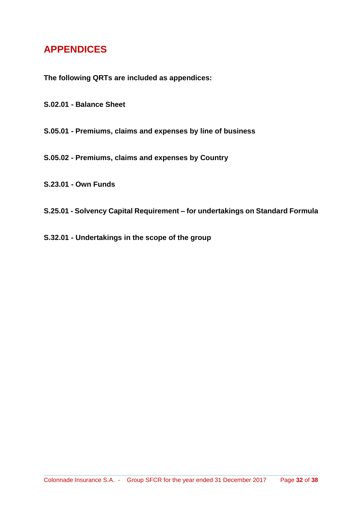# **APPENDICES**

**The following QRTs are included as appendices:** 

- **S.02.01 Balance Sheet**
- **S.05.01 Premiums, claims and expenses by line of business**
- **S.05.02 Premiums, claims and expenses by Country**
- **S.23.01 Own Funds**
- **S.25.01 Solvency Capital Requirement** *–* **for undertakings on Standard Formula**
- **S.32.01 Undertakings in the scope of the group**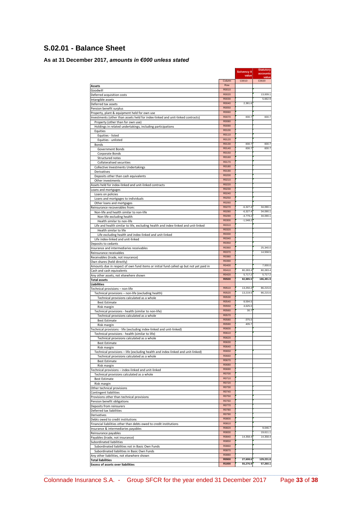### **S.02.01 - Balance Sheet**

### **As at 31 December 2017,** *amounts in €000 unless stated*

| Assets<br>Goodwill<br>Deferred acquisition costs<br>Intangible assets<br>Deferred tax assets                     | Column<br>Row<br>R0010<br>R0020 | value<br>C0010           | value<br>C0020       |
|------------------------------------------------------------------------------------------------------------------|---------------------------------|--------------------------|----------------------|
|                                                                                                                  |                                 |                          |                      |
|                                                                                                                  |                                 |                          |                      |
|                                                                                                                  |                                 |                          |                      |
|                                                                                                                  |                                 |                          | 13,009.1             |
|                                                                                                                  | R0030<br>R0040                  | 2,381.6                  | 5,662.9              |
| Pension benefit surplus                                                                                          | R0050                           |                          |                      |
| Property, plant & equipment held for own use                                                                     | R0060                           |                          |                      |
| Investments (other than assets held for index-linked and unit-linked contracts)                                  | R0070                           | 830.7                    | 830.7                |
| Property (other than for own use)                                                                                | R0080                           |                          |                      |
| Holdings in related undertakings, including participations                                                       | R0090<br>R0100                  |                          |                      |
| Equities<br>Equities - listed                                                                                    | R0110                           |                          |                      |
| Equities - unlisted                                                                                              | R0120                           |                          |                      |
| Bonds                                                                                                            | R0130                           | 830.7                    | 830.7                |
| Government Bonds                                                                                                 | R0140                           | 830.7                    | 830.7                |
| Corporate Bonds                                                                                                  | R0150<br>R0160                  |                          |                      |
| Structured notes                                                                                                 | R0170                           |                          |                      |
| Collateralised securities<br>Collective Investments Undertakings                                                 | R0180                           |                          |                      |
| Derivatives                                                                                                      | R0190                           |                          |                      |
| Deposits other than cash equivalents                                                                             | R0200                           |                          |                      |
| Other investments                                                                                                | R0210                           |                          |                      |
| Assets held for index-linked and unit-linked contracts                                                           | R0220<br>R0230                  |                          |                      |
| Loans and mortgages<br>Loans on policies                                                                         | R0240                           |                          |                      |
| Loans and mortgages to individuals                                                                               | R0250                           |                          |                      |
| Other loans and mortgages                                                                                        | R0260                           |                          |                      |
| Reinsurance recoverables from:                                                                                   | R0270                           | $-6,327.4$               | 34,090.1             |
| Non-life and health similar to non-life                                                                          | R0280                           | $-6,327.4$               | 34,090.1             |
| Non-life excluding health                                                                                        | R0290<br>R0300                  | $-4,779.2$<br>$-1,548.2$ | 34,090.1             |
| Health similar to non-life<br>Life and health similar to life, excluding health and index-linked and unit-linked | R0310                           |                          |                      |
| Health similar to life                                                                                           | R0320                           |                          |                      |
| Life excluding health and index-linked and unit-linked                                                           | R0330                           |                          |                      |
| Life index-linked and unit-linked                                                                                | R0340                           |                          |                      |
| Deposits to cedants                                                                                              | R0350                           |                          |                      |
| Insurance and intermediaries receivables                                                                         | R0360<br>R0370                  |                          | 25,340.0<br>14,558.5 |
| Reinsurance receivables<br>Receivables (trade, not insurance)                                                    | R0380                           |                          |                      |
| Own shares (held directly)                                                                                       | R0390                           |                          |                      |
| Amounts due in respect of own fund items or initial fund called up but not yet paid in                           | R0400                           |                          | 7,000.0              |
| Cash and cash equivalents                                                                                        | R0410                           | 80,283.4                 | 80,283.4             |
| Any other assets, not elsewhere shown                                                                            | R0420<br><b>R0500</b>           | 5,717.2<br>82,885.5      | 5,717.2<br>186,491.9 |
| <b>Total assets</b><br>Liabilities                                                                               |                                 |                          |                      |
| Technical provisions - non-life                                                                                  | R0510                           | 13,250.2                 | 86,215.6             |
| Technical provisions - non-life (excluding health)                                                               | R0520                           | 13,219.5                 | 86,215.6             |
| Technical provisions calculated as a whole                                                                       | R0530                           |                          |                      |
| <b>Best Estimate</b>                                                                                             | R0540<br>R0550                  | 8,594.5<br>4,625.0       |                      |
| Risk margin<br>Technical provisions - health (similar to non-life)                                               | R0560                           | 30.7                     |                      |
| Technical provisions calculated as a whole                                                                       | R0570                           |                          |                      |
| <b>Best Estimate</b>                                                                                             | R0580                           | $-375.0$                 |                      |
| Risk margin                                                                                                      | R0590                           | 405.7                    |                      |
| Technical provisions - life (excluding index-linked and unit-linked)                                             | R0600                           |                          |                      |
| Technical provisions - health (similar to life)                                                                  | R0610<br>R0620                  |                          |                      |
| Technical provisions calculated as a whole<br><b>Best Estimate</b>                                               | <b>RUB30</b>                    |                          |                      |
| Risk margin                                                                                                      | R0640                           |                          |                      |
| Technical provisions - life (excluding health and index-linked and unit-linked)                                  | R0650                           |                          |                      |
| Technical provisions calculated as a whole                                                                       | R0660                           |                          |                      |
| <b>Best Estimate</b>                                                                                             | R0670<br>R0680                  |                          |                      |
| Risk margin<br>Technical provisions - index-linked and unit-linked                                               | R0690                           |                          |                      |
| Technical provisions calculated as a whole                                                                       | R0700                           |                          |                      |
| <b>Best Estimate</b>                                                                                             | R0710                           |                          |                      |
| Risk margin                                                                                                      | R0720                           |                          |                      |
| Other technical provisions                                                                                       | R0730                           |                          |                      |
| Contingent liabilities                                                                                           | R0740<br>R0750                  |                          |                      |
| Provisions other than technical provisions<br>Pension benefit obligations                                        | R0760                           |                          |                      |
| Deposits from reinsurers                                                                                         | R0770                           |                          |                      |
| Deferred tax liabilities                                                                                         | R0780                           |                          |                      |
| Derivatives                                                                                                      | R0790                           |                          |                      |
| Debts owed to credit institutions                                                                                | R0800<br>R0810                  |                          |                      |
| Financial liabilities other than debts owed to credit institutions                                               | R0820                           |                          | 9,046.7              |
| Insurance & intermediaries payables<br>Reinsurance payables                                                      | R0830                           |                          | 19,611.1             |
| Payables (trade, not insurance)                                                                                  | R0840                           | 14,358.4                 | 14,358.4             |
| Subordinated liabilities                                                                                         | R0850                           |                          |                      |
| Subordinated liabilities not in Basic Own Funds                                                                  | R0860                           |                          |                      |
| Subordinated liabilities in Basic Own Funds                                                                      | R0870<br>R0880                  |                          |                      |
| Any other liabilities, not elsewhere shown<br><b>Total liabilities</b>                                           | <b>R0900</b>                    | 27,608.6                 | 129,231.8            |
| <b>Excess of assets over liabilities</b>                                                                         | R1000                           | 55,276.9                 | 57,260.1             |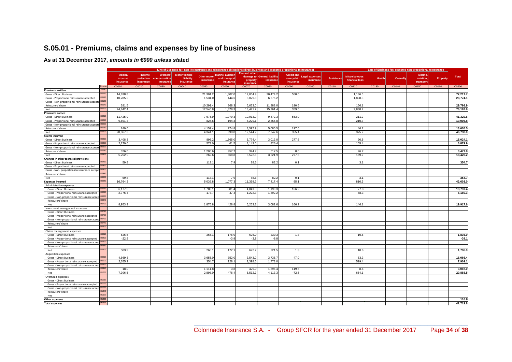### **S.05.01 - Premiums, claims and expenses by line of business**

#### **As at 31 December 2017,** *amounts in €000 unless st***ated**

|                                                    |              | Line of Business for: non-life insurance and reinsurance obligations (direct business and accepted proportional reinsurance) |                      |                          |                                   |                          |                                           |                            |                                          | Line of Business for: accepted non-proportional reinsurance |                                    |            |                                        |        |          |                      |          |          |
|----------------------------------------------------|--------------|------------------------------------------------------------------------------------------------------------------------------|----------------------|--------------------------|-----------------------------------|--------------------------|-------------------------------------------|----------------------------|------------------------------------------|-------------------------------------------------------------|------------------------------------|------------|----------------------------------------|--------|----------|----------------------|----------|----------|
|                                                    |              | <b>Medical</b><br>expense                                                                                                    | Income<br>protection | Workers'<br>compensation | <b>Motor vehicle</b><br>liability | Other motor<br>insurance | <b>Marine</b> , aviation<br>and transport | Fire and other<br>property | damage to General liability<br>insurance | <b>Credit and</b><br>suretyship                             | <b>Legal expenses</b><br>insurance | Assistance | <b>Miscellaneous</b><br>financial loss | Health | Casualty | Marine.<br>aviation. | Property | Total    |
|                                                    | Colum        | insurance                                                                                                                    | insurance            | insurance                | insurance                         |                          | insurance                                 | insurance                  |                                          | insurance                                                   |                                    |            |                                        |        |          | transport            |          |          |
| <b>Premiums written</b>                            | Row          | C0010                                                                                                                        | C0020                | C0030                    | C0040                             | C0050                    | C0060                                     | C0070                      | C0080                                    | C0090                                                       | C0100                              | C0110      | C0120                                  | C0130  | C0140    | C0150                | C0160    | C0200    |
| Gross - Direct Business                            | <b>R011</b>  | 14,838.8                                                                                                                     |                      |                          |                                   | 21,301.                  | 1,802.0                                   | 17,064.                    | 20,474.2                                 | 550.                                                        |                                    |            | 1,186.6                                |        |          |                      |          | 77,217.7 |
| Gross - Proportional reinsurance accepted          | R0120        | 10,285.2                                                                                                                     |                      |                          |                                   | 1,531.0                  | 444.6                                     | 8,029.8                    | 6,675.2                                  |                                                             |                                    |            | 1,808.3                                |        |          |                      |          | 28,774.1 |
| Gross - Non-proportional reinsurance accepte R0130 |              |                                                                                                                              |                      |                          |                                   |                          |                                           |                            |                                          |                                                             |                                    |            |                                        |        |          |                      |          |          |
| Reinsurers' share                                  | R0140        | 281.5                                                                                                                        |                      |                          |                                   | 10.291.                  | 368.3                                     | 6.623.                     | 11,888.0                                 | 190.5                                                       |                                    |            | 156.7                                  |        |          |                      |          | 29.798.9 |
| Net                                                | R020         | 24,842.4                                                                                                                     |                      |                          |                                   | 12,540.8                 | 1,878.3                                   | 18,471.7                   | 15,261.                                  | 359.5                                                       |                                    |            | 2,838.7                                |        |          |                      |          | 76,192.9 |
| <b>Premiums earned</b>                             |              |                                                                                                                              |                      |                          |                                   |                          |                                           |                            |                                          |                                                             |                                    |            |                                        |        |          |                      |          |          |
| Gross - Direct Business                            | R0210        | 11,425.0                                                                                                                     |                      |                          |                                   | 7,675.9                  | 1,079.3                                   | 10,913.0                   | 9,472.3                                  | 553.0                                                       |                                    |            | 211.2                                  |        |          |                      |          | 41,329.6 |
| Gross - Proportional reinsurance accepted          |              | 9,691.3                                                                                                                      |                      |                          |                                   | 824.6                    | 194.3                                     | 5,229.                     | 2,855.8                                  |                                                             |                                    |            | 210.7                                  |        |          |                      |          | 19,005.8 |
| Gross - Non-proportional reinsurance accepte R0230 |              |                                                                                                                              |                      |                          |                                   |                          |                                           |                            |                                          |                                                             |                                    |            |                                        |        |          |                      |          |          |
| Reinsurers' share                                  | R0240        | 249.0                                                                                                                        |                      |                          |                                   | 4,159.4                  | 274.8                                     | 3,597.9                    | 5,080.5                                  | 197.6                                                       |                                    |            | 46.2                                   |        |          |                      |          | 13,605.5 |
| Net                                                | R0300        | 20,867.                                                                                                                      |                      |                          |                                   | 4,341.                   | 998.8                                     | 12,544.2                   | 7,247.6                                  | 355.4                                                       |                                    |            | 375.7                                  |        |          |                      |          | 46,730.0 |
| <b>Claims incurred</b>                             |              |                                                                                                                              |                      |                          |                                   |                          |                                           |                            |                                          |                                                             |                                    |            |                                        |        |          |                      |          |          |
| Gross - Direct Business                            | R0310        | 3,408.3                                                                                                                      |                      |                          |                                   | 895.2                    | 1,565.0                                   | 5,774.4                    | 3,013.0                                  | 277.6                                                       |                                    |            | 90.5                                   |        |          |                      |          | 15,024.1 |
| Gross - Proportional reinsurance accepted          | R0320        | 2.170.6                                                                                                                      |                      |                          |                                   | 573.0                    | 61.5                                      | 3,143.0                    | 826.4                                    |                                                             |                                    |            | 105.4                                  |        |          |                      |          | 6,879.9  |
| Gross - Non-proportional reinsurance accepte R0330 |              |                                                                                                                              |                      |                          |                                   |                          |                                           |                            |                                          |                                                             |                                    |            |                                        |        |          |                      |          |          |
| Reinsurers' share                                  | R0340        | 326.0                                                                                                                        |                      |                          |                                   | 1,205.6                  | 957.7                                     | 344.7                      | 617.5                                    | 0.0                                                         |                                    |            | 26.2                                   |        |          |                      |          | 3,477.8  |
| Net                                                | ROADO        | 5,252.9                                                                                                                      |                      |                          |                                   | 262.6                    | 668.8                                     | 8,572.6                    | 3,221.9                                  | 277.6                                                       |                                    |            | 169.7                                  |        |          |                      |          | 18,426.2 |
| Changes in other technical provisions              |              |                                                                                                                              |                      |                          |                                   |                          |                                           |                            |                                          |                                                             |                                    |            |                                        |        |          |                      |          |          |
| Gross - Direct Business                            | R0410        | 59.8                                                                                                                         |                      |                          |                                   | 113.1                    | 7.9                                       | 88.6                       | 82.2                                     | 0.1                                                         |                                    |            | 3.1                                    |        |          |                      |          | 354.7    |
| Gross - Proportional reinsurance accepted          |              |                                                                                                                              |                      |                          |                                   |                          |                                           |                            |                                          |                                                             |                                    |            |                                        |        |          |                      |          |          |
| Gross - Non- proportional reinsurance accepte      | R0430        |                                                                                                                              |                      |                          |                                   |                          |                                           |                            |                                          |                                                             |                                    |            |                                        |        |          |                      |          |          |
| Reinsurers' share                                  | R0440        |                                                                                                                              |                      |                          |                                   |                          |                                           |                            |                                          |                                                             |                                    |            |                                        |        |          |                      |          |          |
| Net                                                | R0500        | 59.8                                                                                                                         |                      |                          |                                   | 113.1                    | 7.9                                       | 88.6                       | 82.2                                     | 0.1                                                         |                                    |            | 3.1                                    |        |          |                      |          | 354.7    |
| <b>Expenses incurred</b>                           | <b>R0550</b> | 16,764.2                                                                                                                     |                      |                          |                                   | 5,039.8                  | 1,077.3                                   | 11,398.2                   | 7,417.4                                  | 95.1                                                        |                                    |            | 810.9                                  |        |          |                      |          | 42,603.0 |
| Administrative expenses                            |              |                                                                                                                              |                      |                          |                                   |                          |                                           |                            |                                          |                                                             |                                    |            |                                        |        |          |                      |          |          |
| Gross - Direct Business                            | R0610        | 6,177.5                                                                                                                      |                      |                          |                                   | 1,703.                   | 381.4                                     | 4,041.                     | 1,190.3                                  | 166.                                                        |                                    |            | 77.8                                   |        |          |                      |          | 13,737.4 |
| Gross - Proportional reinsurance accepted          | R0620        | 2,776.4                                                                                                                      |                      |                          |                                   | 173.7                    | 47.4                                      | 1,222.3                    | 1,892.2                                  |                                                             |                                    |            | 68.3                                   |        |          |                      |          | 6,180.3  |
| Gross - Non-proportional reinsurance accep R0630   |              |                                                                                                                              |                      |                          |                                   |                          |                                           |                            |                                          |                                                             |                                    |            |                                        |        |          |                      |          |          |
| Reinsurers' share                                  | R0640        |                                                                                                                              |                      |                          |                                   |                          |                                           |                            |                                          |                                                             |                                    |            |                                        |        |          |                      |          |          |
| Net                                                |              | 8,953.9                                                                                                                      |                      |                          |                                   | 1,876.8                  | 428.8                                     | 5,263.3                    | 3,082.6                                  | 166.2                                                       |                                    |            | 146.1                                  |        |          |                      |          | 19,917.6 |
| Investment management expenses                     |              |                                                                                                                              |                      |                          |                                   |                          |                                           |                            |                                          |                                                             |                                    |            |                                        |        |          |                      |          |          |
| <b>Gross - Direct Business</b>                     | R0710        |                                                                                                                              |                      |                          |                                   |                          |                                           |                            |                                          |                                                             |                                    |            |                                        |        |          |                      |          |          |
| Gross - Proportional reinsurance accepted          |              |                                                                                                                              |                      |                          |                                   |                          |                                           |                            |                                          |                                                             |                                    |            |                                        |        |          |                      |          |          |
| Gross - Non-proportional reinsurance accep R0730   |              |                                                                                                                              |                      |                          |                                   |                          |                                           |                            |                                          |                                                             |                                    |            |                                        |        |          |                      |          |          |
| Reinsurers' share                                  | R0740        |                                                                                                                              |                      |                          |                                   |                          |                                           |                            |                                          |                                                             |                                    |            |                                        |        |          |                      |          |          |
| Net                                                | R0800        |                                                                                                                              |                      |                          |                                   |                          |                                           |                            |                                          |                                                             |                                    |            |                                        |        |          |                      |          |          |
| Claims management expenses                         |              |                                                                                                                              |                      |                          |                                   |                          |                                           |                            |                                          |                                                             |                                    |            |                                        |        |          |                      |          |          |
| Gross - Direct Business                            | R0810        | 526.6                                                                                                                        |                      |                          |                                   | 265.                     | 176.0                                     | 626.0                      | 230.3                                    | 1.3                                                         |                                    |            | 10.6                                   |        |          |                      |          | 1,836.0  |
| Gross - Proportional reinsurance accepted          |              | $-22.8$                                                                                                                      |                      |                          |                                   |                          | $-3.9$                                    | $-3.8$                     | $-8.8$                                   |                                                             |                                    |            |                                        |        |          |                      |          | $-39.1$  |
| Gross - Non-proportional reinsurance accepi ROB3   |              |                                                                                                                              |                      |                          |                                   |                          |                                           |                            |                                          |                                                             |                                    |            |                                        |        |          |                      |          |          |
| Reinsurers' share                                  | R084         |                                                                                                                              |                      |                          |                                   |                          |                                           |                            |                                          |                                                             |                                    |            |                                        |        |          |                      |          |          |
| Net                                                | <b>R0900</b> | 503.9                                                                                                                        |                      |                          |                                   | 265.1                    | 172.1                                     | 622.2                      | 221.5                                    | 1.3                                                         |                                    |            | 10.6                                   |        |          |                      |          | 1,796.9  |
| <b>Acquisition expenses</b>                        |              |                                                                                                                              |                      |                          |                                   |                          |                                           |                            |                                          |                                                             |                                    |            |                                        |        |          |                      |          |          |
| Gross - Direct Business                            | <b>R0910</b> | 4.669.3                                                                                                                      |                      |                          |                                   | 3.655.0                  | 352.0                                     | 3,543.0                    | 3.736.7                                  | 47.0                                                        |                                    |            | 63.3                                   |        |          |                      |          | 16,066.4 |
| Gross - Proportional reinsurance accepted          |              | 2,655.2                                                                                                                      |                      |                          |                                   | 354.7                    | 128.                                      | 2,398.6                    | 1,773.0                                  |                                                             |                                    |            | 599.4                                  |        |          |                      |          | 7,909.1  |
| Gross - Non-proportional reinsurance accep         |              |                                                                                                                              |                      |                          |                                   |                          |                                           |                            |                                          |                                                             |                                    |            |                                        |        |          |                      |          |          |
| Reinsurers' share                                  |              | 18.0                                                                                                                         |                      |                          |                                   | 1,111.8                  | 3.8                                       | 429.0                      | 1,396.4                                  | 119.5                                                       |                                    |            | 8.6                                    |        |          |                      |          | 3,087.0  |
| Net                                                | R1000        | 7,306.5                                                                                                                      |                      |                          |                                   | 2.898.0                  | 476.4                                     | 5,512.7                    | 4,113.3                                  | $-72.5$                                                     |                                    |            | 654.1                                  |        |          |                      |          | 20,888.5 |
| Overhead expenses                                  |              |                                                                                                                              |                      |                          |                                   |                          |                                           |                            |                                          |                                                             |                                    |            |                                        |        |          |                      |          |          |
| <b>Gross - Direct Business</b>                     |              |                                                                                                                              |                      |                          |                                   |                          |                                           |                            |                                          |                                                             |                                    |            |                                        |        |          |                      |          |          |
| Gross - Proportional reinsurance accepted          | R1020        |                                                                                                                              |                      |                          |                                   |                          |                                           |                            |                                          |                                                             |                                    |            |                                        |        |          |                      |          |          |
| Gross - Non-proportional reinsurance accep R1030   |              |                                                                                                                              |                      |                          |                                   |                          |                                           |                            |                                          |                                                             |                                    |            |                                        |        |          |                      |          |          |
| Reinsurers' share                                  |              |                                                                                                                              |                      |                          |                                   |                          |                                           |                            |                                          |                                                             |                                    |            |                                        |        |          |                      |          |          |
| Net                                                | R1100        |                                                                                                                              |                      |                          |                                   |                          |                                           |                            |                                          |                                                             |                                    |            |                                        |        |          |                      |          |          |
| <b>Other expenses</b>                              | R1200        |                                                                                                                              |                      |                          |                                   |                          |                                           |                            |                                          |                                                             |                                    |            |                                        |        |          |                      |          | 116.8    |
| <b>Total expenses</b>                              | R1300        |                                                                                                                              |                      |                          |                                   |                          |                                           |                            |                                          |                                                             |                                    |            |                                        |        |          |                      |          | 42,719.8 |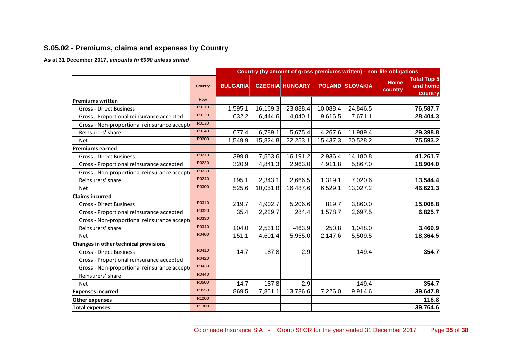### **S.05.02 - Premiums, claims and expenses by Country**

### **As at 31 December 2017,** *amounts in €000 unless stated*

|                                              |         |                 |          |                        |          | Country (by amount of gross premiums written) - non-life obligations |                        |                                           |
|----------------------------------------------|---------|-----------------|----------|------------------------|----------|----------------------------------------------------------------------|------------------------|-------------------------------------------|
|                                              | Country | <b>BULGARIA</b> |          | <b>CZECHIA HUNGARY</b> |          | <b>POLAND SLOVAKIA</b>                                               | <b>Home</b><br>country | <b>Total Top 5</b><br>and home<br>country |
| Premiums written                             | Row     |                 |          |                        |          |                                                                      |                        |                                           |
| <b>Gross - Direct Business</b>               | R0110   | 1,595.1         | 16,169.3 | 23,888.4               | 10,088.4 | 24,846.5                                                             |                        | 76,587.7                                  |
| Gross - Proportional reinsurance accepted    | R0120   | 632.2           | 6,444.6  | 4,040.1                | 9,616.5  | 7,671.1                                                              |                        | 28,404.3                                  |
| Gross - Non-proportional reinsurance accepto | R0130   |                 |          |                        |          |                                                                      |                        |                                           |
| Reinsurers' share                            | R0140   | 677.4           | 6,789.1  | 5,675.4                | 4,267.6  | 11,989.4                                                             |                        | 29,398.8                                  |
| <b>Net</b>                                   | R0200   | 1,549.9         | 15,824.8 | 22,253.1               | 15,437.3 | 20,528.2                                                             |                        | 75,593.2                                  |
| <b>Premiums earned</b>                       |         |                 |          |                        |          |                                                                      |                        |                                           |
| <b>Gross - Direct Business</b>               | R0210   | 399.8           | 7,553.6  | 16,191.2               | 2,936.4  | 14,180.8                                                             |                        | 41,261.7                                  |
| Gross - Proportional reinsurance accepted    | R0220   | 320.9           | 4,841.3  | 2,963.0                | 4,911.8  | 5,867.0                                                              |                        | 18,904.0                                  |
| Gross - Non-proportional reinsurance accepto | R0230   |                 |          |                        |          |                                                                      |                        |                                           |
| Reinsurers' share                            | R0240   | 195.1           | 2,343.1  | 2,666.5                | 1,319.1  | 7,020.6                                                              |                        | 13,544.4                                  |
| <b>Net</b>                                   | R0300   | 525.6           | 10,051.8 | 16,487.6               | 6,529.1  | 13,027.2                                                             |                        | 46,621.3                                  |
| <b>Claims incurred</b>                       |         |                 |          |                        |          |                                                                      |                        |                                           |
| <b>Gross - Direct Business</b>               | R0310   | 219.7           | 4,902.7  | 5,206.6                | 819.7    | 3,860.0                                                              |                        | 15,008.8                                  |
| Gross - Proportional reinsurance accepted    | R0320   | 35.4            | 2,229.7  | 284.4                  | 1,578.7  | 2,697.5                                                              |                        | 6,825.7                                   |
| Gross - Non-proportional reinsurance accept  | R0330   |                 |          |                        |          |                                                                      |                        |                                           |
| Reinsurers' share                            | R0340   | 104.0           | 2,531.0  | $-463.9$               | 250.8    | 1,048.0                                                              |                        | 3,469.9                                   |
| <b>Net</b>                                   | R0400   | 151.1           | 4,601.4  | 5,955.0                | 2,147.6  | 5,509.5                                                              |                        | 18,364.5                                  |
| Changes in other technical provisions        |         |                 |          |                        |          |                                                                      |                        |                                           |
| <b>Gross - Direct Business</b>               | R0410   | 14.7            | 187.8    | 2.9                    |          | 149.4                                                                |                        | 354.7                                     |
| Gross - Proportional reinsurance accepted    | R0420   |                 |          |                        |          |                                                                      |                        |                                           |
| Gross - Non-proportional reinsurance accepte | R0430   |                 |          |                        |          |                                                                      |                        |                                           |
| Reinsurers' share                            | R0440   |                 |          |                        |          |                                                                      |                        |                                           |
| <b>Net</b>                                   | R0500   | 14.7            | 187.8    | 2.9                    |          | 149.4                                                                |                        | 354.7                                     |
| <b>Expenses incurred</b>                     | R0550   | 869.5           | 7,851.1  | 13,786.6               | 7,226.0  | 9,914.6                                                              |                        | 39,647.8                                  |
| <b>Other expenses</b>                        | R1200   |                 |          |                        |          |                                                                      |                        | 116.8                                     |
| <b>Total expenses</b>                        | R1300   |                 |          |                        |          |                                                                      |                        | 39,764.6                                  |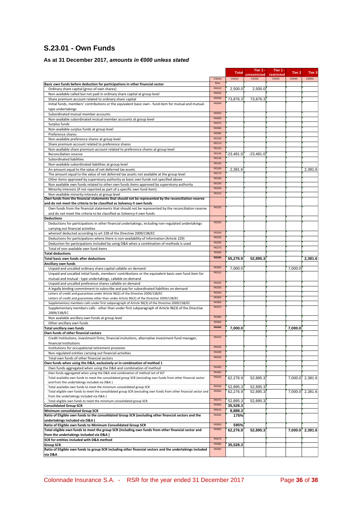### **S.23.01 - Own Funds**

### **As at 31 December 2017,** *amounts in €000 unless stated*

|                                                                                                                                                                      |        | <b>Total</b> | Tier 1 -              | Tier 1 -            | Tier <sub>2</sub> | Tier 3          |
|----------------------------------------------------------------------------------------------------------------------------------------------------------------------|--------|--------------|-----------------------|---------------------|-------------------|-----------------|
|                                                                                                                                                                      | Column | C0010        | unrestricted<br>C0020 | restricted<br>C0030 | C0040             | C0050           |
| Basic own funds before deduction for participations in other financial sector                                                                                        | Row    |              |                       |                     |                   |                 |
| Ordinary share capital (gross of own shares)                                                                                                                         | R0010  | 2,500.0      | 2,500.0               |                     |                   |                 |
| Non-available called but not paid in ordinary share capital at group level                                                                                           | R0020  |              |                       |                     |                   |                 |
| Share premium account related to ordinary share capital                                                                                                              | R0030  | 73,876.3     | 73,876.3              |                     |                   |                 |
| Initial funds, members' contributions or the equivalent basic own - fund item for mutual and mutual-                                                                 | R0040  |              |                       |                     |                   |                 |
| type undertakings                                                                                                                                                    |        |              |                       |                     |                   |                 |
| Subordinated mutual member accounts                                                                                                                                  | R0050  |              |                       |                     |                   |                 |
| Non-available subordinated mutual member accounts at group level                                                                                                     | R0060  |              |                       |                     |                   |                 |
| Surplus funds                                                                                                                                                        | R0070  |              |                       |                     |                   |                 |
| Non-available surplus funds at group level                                                                                                                           | R0080  |              |                       |                     |                   |                 |
| Preference shares                                                                                                                                                    | R0090  |              |                       |                     |                   |                 |
| Non-available preference shares at group level                                                                                                                       | R0100  |              |                       |                     |                   |                 |
| Share premium account related to preference shares                                                                                                                   | R0110  |              |                       |                     |                   |                 |
| Non-available share premium account related to preference shares at group level                                                                                      | R0120  |              |                       |                     |                   |                 |
| Reconciliation reserve                                                                                                                                               | R0130  | $-23.481.0$  | $-23.481.0$           |                     |                   |                 |
| Subordinated liabilities                                                                                                                                             | R0140  |              |                       |                     |                   |                 |
| Non-available subordinated liabilities at group level                                                                                                                | R0150  |              |                       |                     |                   |                 |
| An amount equal to the value of net deferred tax assets                                                                                                              | R0160  | 2,381.6      |                       |                     |                   | 2,381.6         |
| The amount equal to the value of net deferred tax assets not available at the group level                                                                            | R0170  |              |                       |                     |                   |                 |
| Other items approved by supervisory authority as basic own funds not specified above                                                                                 | R0180  |              |                       |                     |                   |                 |
| Non available own funds related to other own funds items approved by supervisory authority                                                                           | R0190  |              |                       |                     |                   |                 |
| Minority interests (if not reported as part of a specific own fund item)                                                                                             | R0200  |              |                       |                     |                   |                 |
| Non-available minority interests at group level                                                                                                                      | R0210  |              |                       |                     |                   |                 |
| Own funds from the financial statements that should not be represented by the reconciliation reserve                                                                 |        |              |                       |                     |                   |                 |
| and do not meet the criteria to be classified as Solvency II own funds                                                                                               |        |              |                       |                     |                   |                 |
| Own funds from the financial statements that should not be represented by the reconciliation reserve                                                                 | R0220  |              |                       |                     |                   |                 |
| and do not meet the criteria to be classified as Solvency II own funds                                                                                               |        |              |                       |                     |                   |                 |
| <b>Deductions</b>                                                                                                                                                    | R0230  |              |                       |                     |                   |                 |
| Deductions for participations in other financial undertakings, including non-regulated undertakings                                                                  |        |              |                       |                     |                   |                 |
| carrying out financial activities                                                                                                                                    | R0240  |              |                       |                     |                   |                 |
| whereof deducted according to art 228 of the Directive 2009/138/EC                                                                                                   | R0250  |              |                       |                     |                   |                 |
| Deductions for participations where there is non-availability of information (Article 229)                                                                           | R0260  |              |                       |                     |                   |                 |
| Deduction for participations included by using D&A when a combination of methods is used                                                                             | R0270  |              |                       |                     |                   |                 |
| Total of non-available own fund items                                                                                                                                | R0280  |              |                       |                     |                   |                 |
| <b>Total deductions</b>                                                                                                                                              | R0290  |              |                       |                     |                   |                 |
| Total basic own funds after deductions                                                                                                                               |        | 55,276.9     | 52,895.3              |                     |                   | 2,381.6         |
| Ancillary own funds                                                                                                                                                  | R0300  | 7,000.0      |                       |                     | 7,000.0           |                 |
| Unpaid and uncalled ordinary share capital callable on demand<br>Unpaid and uncalled initial funds, members' contributions or the equivalent basic own fund item for | R0310  |              |                       |                     |                   |                 |
|                                                                                                                                                                      |        |              |                       |                     |                   |                 |
| mutual and mutual - type undertakings, callable on demand<br>Unpaid and uncalled preference shares callable on demand                                                | R0320  |              |                       |                     |                   |                 |
| A legally binding commitment to subscribe and pay for subordinated liabilities on demand                                                                             | R0330  |              |                       |                     |                   |                 |
| Letters of credit and guarantees under Article 96(2) of the Directive 2009/138/EC                                                                                    | R0340  |              |                       |                     |                   |                 |
| Letters of credit and guarantees other than under Article 96(2) of the Directive 2009/138/EC                                                                         | R0350  |              |                       |                     |                   |                 |
| Supplementary members calls under first subparagraph of Article 96(3) of the Directive 2009/138/EC                                                                   | R0360  |              |                       |                     |                   |                 |
| Supplementary members calls - other than under first subparagraph of Article 96(3) of the Directive                                                                  | R0370  |              |                       |                     |                   |                 |
| 2009/138/EC                                                                                                                                                          |        |              |                       |                     |                   |                 |
| Non available ancillary own funds at group level                                                                                                                     | R0380  |              |                       |                     |                   |                 |
| Other ancillary own funds                                                                                                                                            | R0390  |              |                       |                     |                   |                 |
| Total ancillary own funds                                                                                                                                            | R0400  | 7,000.0      |                       |                     | 7,000.0           |                 |
| Own funds of other financial sectors                                                                                                                                 |        |              |                       |                     |                   |                 |
| Credit Institutions, investment firms, financial insitutions, alternative investment fund manager,                                                                   | R0410  |              |                       |                     |                   |                 |
| financial institutions                                                                                                                                               |        |              |                       |                     |                   |                 |
| Institutions for occupational retirement provision                                                                                                                   | R0420  |              |                       |                     |                   |                 |
| Non regulated entities carrying out financial activities                                                                                                             | R0430  |              |                       |                     |                   |                 |
| Total own funds of other financial sectors                                                                                                                           | R0440  |              |                       |                     |                   |                 |
| Own funds when using the D&A, exclusively or in combination of method 1                                                                                              |        |              |                       |                     |                   |                 |
| Own funds aggregated when using the D&A and combination of method                                                                                                    | R0450  |              |                       |                     |                   |                 |
| Own funds aggregated when using the D&A and combination of method net of IGT                                                                                         | R0460  |              |                       |                     |                   |                 |
| Total available own funds to meet the consolidated group SCR (excluding own funds from other financial sector                                                        | R0520  | 62,276.9     | 52,895.3              |                     | 7,000.0           | 2,381.6         |
| and from the undertakings included via D&A )                                                                                                                         | R0530  |              |                       |                     |                   |                 |
| Total available own funds to meet the minimum consolidated group SCR                                                                                                 | R0560  | 52,895.3     | 52,895.3              |                     |                   |                 |
| Total eligible own funds to meet the consolidated group SCR (excluding own funds from other financial sector and<br>from the undertakings included via D&A )         |        | 62,276.9     | 52,895.3              |                     | 7,000.0           | 2,381.6         |
| Total eligible own funds to meet the minimum consolidated group SCR                                                                                                  | R0570  | 52,895.3     | 52,895.3              |                     |                   |                 |
| <b>Consolidated Group SCR</b>                                                                                                                                        | R0590  | 35,528.3     |                       |                     |                   |                 |
| Minimum consolidated Group SCR                                                                                                                                       | R0610  | 8,888.3      |                       |                     |                   |                 |
| Ratio of Eligible own funds to the consolidated Group SCR (excluding other financial sectors and the                                                                 | R0630  | 175%         |                       |                     |                   |                 |
| undertakings included via D&A)                                                                                                                                       |        |              |                       |                     |                   |                 |
| Ratio of Eligible own funds to Minimum Consolidated Group SCR                                                                                                        | R0650  | 595%         |                       |                     |                   |                 |
| Total eligible own funds to meet the group SCR (including own funds from other financial sector and                                                                  | R0660  | 62,276.9     | 52,895.3              |                     |                   | 7,000.0 2,381.6 |
| from the undertakings included via D&A)                                                                                                                              |        |              |                       |                     |                   |                 |
| SCR for entities included with D&A method                                                                                                                            | R0670  |              |                       |                     |                   |                 |
| <b>Group SCR</b>                                                                                                                                                     | R0680  | 35,528.3     |                       |                     |                   |                 |
| Ratio of Eligible own funds to group SCR including other financial sectors and the undertakings included                                                             | R0690  |              |                       |                     |                   |                 |
| via D&A                                                                                                                                                              |        |              |                       |                     |                   |                 |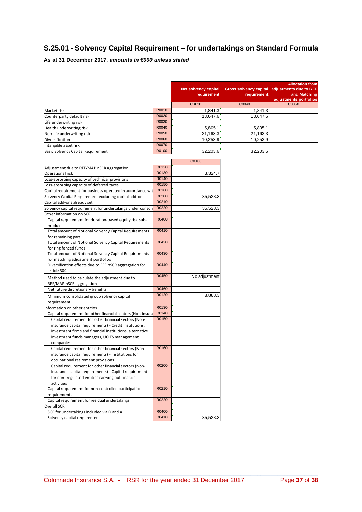### **S.25.01 - Solvency Capital Requirement** *–* **for undertakings on Standard Formula**

### **As at 31 December 2017,** *amounts in €000 unless stated*

|                                           |       | <b>Net solvency capital</b><br>requirement | requirement | <b>Allocation from</b><br>Gross solvency capital adjustments due to RFF<br>and Matching<br>adjustments portfolios |
|-------------------------------------------|-------|--------------------------------------------|-------------|-------------------------------------------------------------------------------------------------------------------|
|                                           |       | C0030                                      | C0040       | C0050                                                                                                             |
| Market risk                               | R0010 | 1,841.3                                    | 1,841.3     |                                                                                                                   |
| Counterparty default risk                 | R0020 | 13,647.6                                   | 13,647.6    |                                                                                                                   |
| Life underwriting risk                    | R0030 |                                            |             |                                                                                                                   |
| Health underwriting risk                  | R0040 | 5,805.1                                    | 5,805.1     |                                                                                                                   |
| Non-life underwriting risk                | R0050 | 21,163.3                                   | 21,163.3    |                                                                                                                   |
| <b>Diversification</b>                    | R0060 | $-10.253.9$                                | $-10,253.9$ |                                                                                                                   |
| Intangible asset risk                     | R0070 |                                            |             |                                                                                                                   |
| <b>Basic Solvency Capital Requirement</b> | R0100 | 32,203.6                                   | 32,203.6    |                                                                                                                   |

|                                                             |       | C0100         |
|-------------------------------------------------------------|-------|---------------|
| Adjustment due to RFF/MAP nSCR aggregation                  | R0120 |               |
| Operational risk                                            | R0130 | 3,324.7       |
| Loss-absorbing capacity of technical provisions             | R0140 |               |
| Loss-absorbing capacity of deferred taxes                   | R0150 |               |
| Capital requirement for business operated in accordance wit | R0160 |               |
| Solvency Capital Requirement excluding capital add-on       | R0200 | 35,528.3      |
| Capital add-ons already set                                 | R0210 |               |
| Solvency capital requirement for undertakings under consoli | R0220 | 35,528.3      |
| Other information on SCR                                    |       |               |
| Capital requirement for duration-based equity risk sub-     | R0400 |               |
| module                                                      |       |               |
| Total amount of Notional Solvency Capital Requirements      | R0410 |               |
| for remaining part                                          |       |               |
| Total amount of Notional Solvency Capital Requirements      | R0420 |               |
| for ring fenced funds                                       |       |               |
| Total amount of Notional Solvency Capital Requirements      | R0430 |               |
| for matching adjustment portfolios                          |       |               |
| Diversification effects due to RFF nSCR aggregation for     | R0440 |               |
| article 304                                                 |       |               |
| Method used to calculate the adjustment due to              | R0450 | No adjustment |
| RFF/MAP nSCR aggregation                                    |       |               |
| Net future discretionary benefits                           | R0460 |               |
| Minimum consolidated group solvency capital                 | R0120 | 8,888.3       |
| requirement                                                 |       |               |
| Information on other entities                               | R0130 |               |
| Capital requirement for other financial sectors (Non-insura | R0140 |               |
| Capital requirement for other financial sectors (Non-       | R0150 |               |
| insurance capital requirements) - Credit institutions,      |       |               |
| investment firms and financial institutions, alternative    |       |               |
| investment funds managers, UCITS management                 |       |               |
| companies                                                   |       |               |
| Capital requirement for other financial sectors (Non-       | R0160 |               |
| insurance capital requirements) - Institutions for          |       |               |
| occupational retirement provisions                          |       |               |
| Capital requirement for other financial sectors (Non-       | R0200 |               |
| insurance capital requirements) - Capital requirement       |       |               |
| for non- regulated entities carrying out financial          |       |               |
| activities                                                  |       |               |
| Capital requirement for non-controlled participation        | R0210 |               |
| requirements                                                |       |               |
| Capital requirement for residual undertakings               | R0220 |               |
| <b>Overall SCR</b>                                          |       |               |
| SCR for undertakings included via D and A                   | R0400 |               |
| Solvency capital requirement                                | R0410 | 35,528.3      |